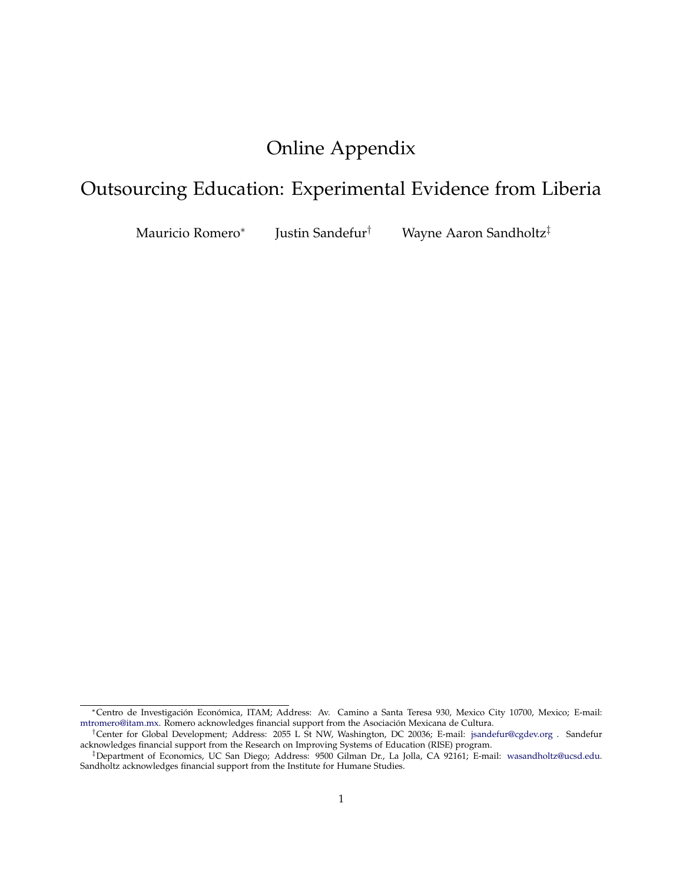# Online Appendix

# Outsourcing Education: Experimental Evidence from Liberia

Mauricio Romero<sup>∗</sup> Justin Sandefur† Wayne Aaron Sandholtz‡

<sup>∗</sup>Centro de Investigación Económica, ITAM; Address: Av. Camino a Santa Teresa 930, Mexico City 10700, Mexico; E-mail: [mtromero@itam.mx.](mailto:mtromero@itam.mx) Romero acknowledges financial support from the Asociación Mexicana de Cultura.

<sup>†</sup>Center for Global Development; Address: 2055 L St NW, Washington, DC 20036; E-mail: [jsandefur@cgdev.org](mailto:jsandefur@cgdev.org) . Sandefur acknowledges financial support from the Research on Improving Systems of Education (RISE) program.

<sup>‡</sup>Department of Economics, UC San Diego; Address: 9500 Gilman Dr., La Jolla, CA 92161; E-mail: [wasandholtz@ucsd.edu.](mailto:wasandholtz@ucsd.edu) Sandholtz acknowledges financial support from the Institute for Humane Studies.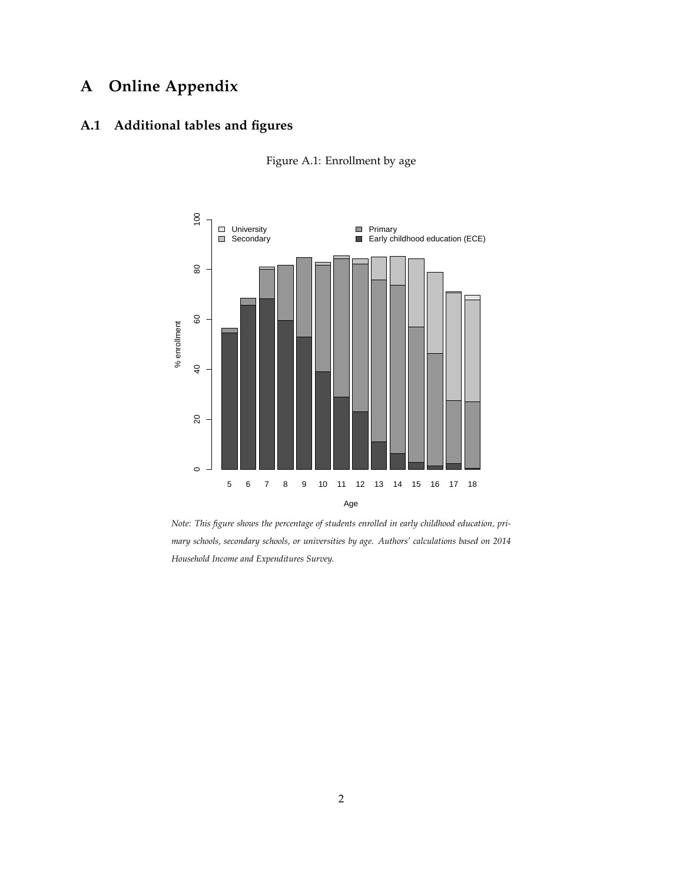## **A Online Appendix**

## **A.1 Additional tables and figures**



Figure A.1: Enrollment by age

*Note: This figure shows the percentage of students enrolled in early childhood education, primary schools, secondary schools, or universities by age. Authors' calculations based on 2014 Household Income and Expenditures Survey.*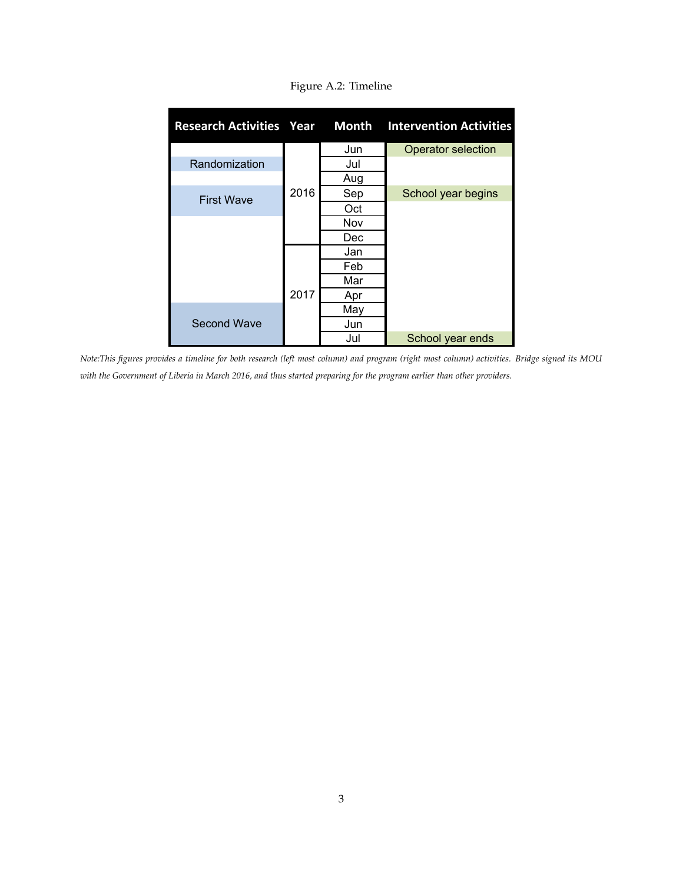| <b>Research Activities Year</b> |      | <b>Month</b> | <b>Intervention Activities</b> |
|---------------------------------|------|--------------|--------------------------------|
|                                 |      | Jun          | <b>Operator selection</b>      |
| Randomization                   |      | Jul          |                                |
|                                 |      | Aug          |                                |
| <b>First Wave</b>               | 2016 | Sep          | School year begins             |
|                                 |      | Oct          |                                |
|                                 |      | Nov          |                                |
|                                 |      | Dec          |                                |
|                                 |      | Jan          |                                |
|                                 |      | Feb          |                                |
|                                 |      | Mar          |                                |
|                                 | 2017 | Apr          |                                |
|                                 |      | May          |                                |
| <b>Second Wave</b>              |      | Jun          |                                |
|                                 |      | Jul          | School year ends               |

Figure A.2: Timeline

*Note:This figures provides a timeline for both research (left most column) and program (right most column) activities. Bridge signed its MOU with the Government of Liberia in March 2016, and thus started preparing for the program earlier than other providers.*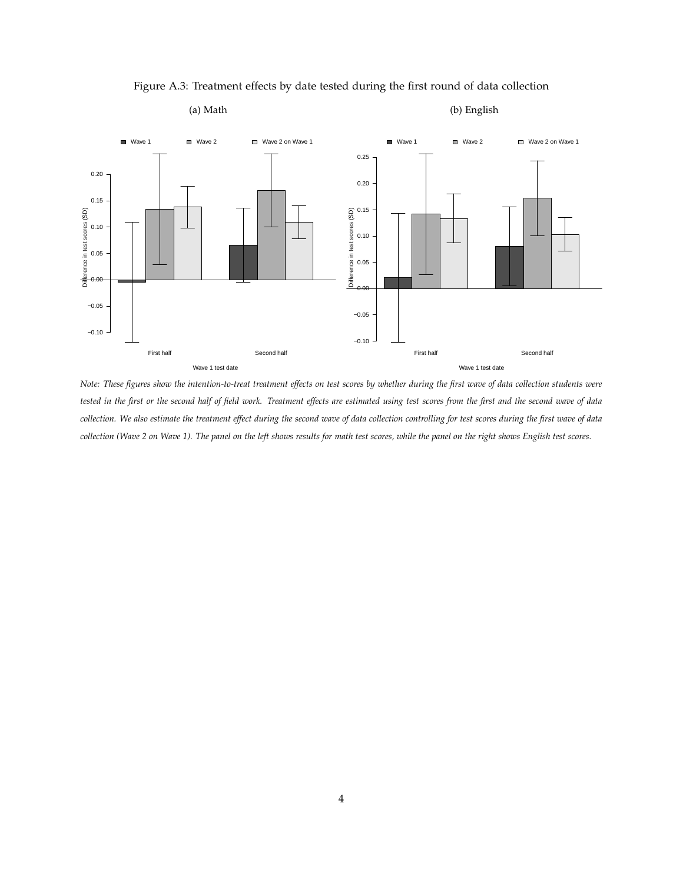

Figure A.3: Treatment effects by date tested during the first round of data collection

### (a) Math

#### (b) English

*Note: These figures show the intention-to-treat treatment effects on test scores by whether during the first wave of data collection students were tested in the first or the second half of field work. Treatment effects are estimated using test scores from the first and the second wave of data collection. We also estimate the treatment effect during the second wave of data collection controlling for test scores during the first wave of data collection (Wave 2 on Wave 1). The panel on the left shows results for math test scores, while the panel on the right shows English test scores.*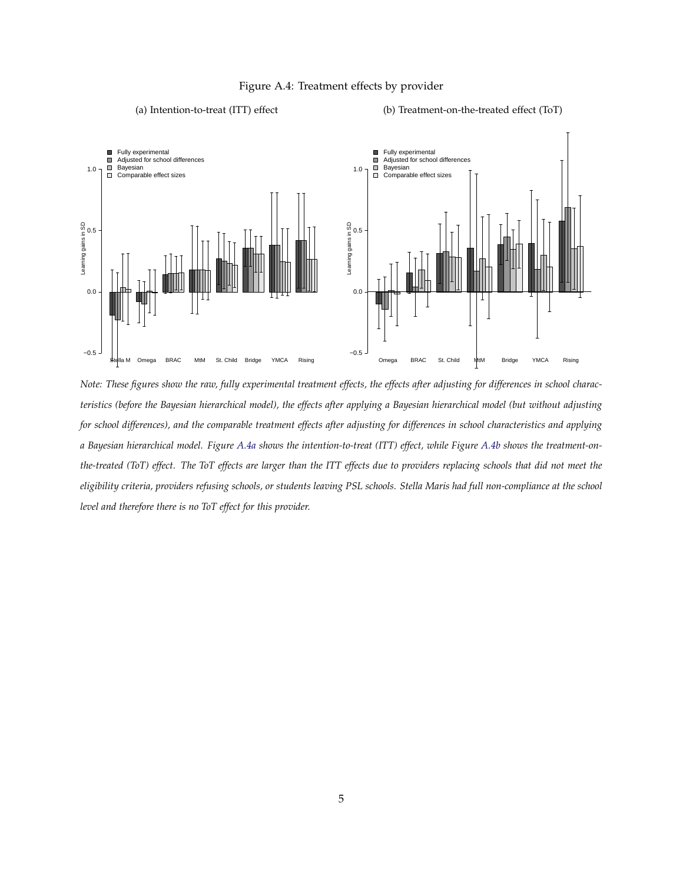

#### Figure A.4: Treatment effects by provider

(b) Treatment-on-the-treated effect (ToT)

(a) Intention-to-treat (ITT) effect

*Note: These figures show the raw, fully experimental treatment effects, the effects after adjusting for differences in school characteristics (before the Bayesian hierarchical model), the effects after applying a Bayesian hierarchical model (but without adjusting for school differences), and the comparable treatment effects after adjusting for differences in school characteristics and applying a Bayesian hierarchical model. Figure A.4a shows the intention-to-treat (ITT) effect, while Figure A.4b shows the treatment-onthe-treated (ToT) effect. The ToT effects are larger than the ITT effects due to providers replacing schools that did not meet the eligibility criteria, providers refusing schools, or students leaving PSL schools. Stella Maris had full non-compliance at the school level and therefore there is no ToT effect for this provider.*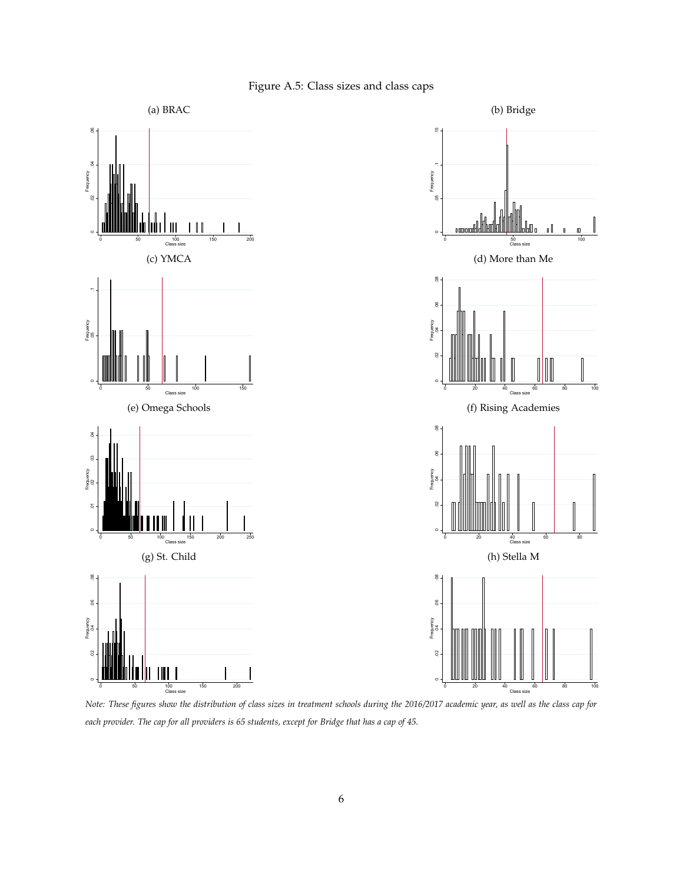

Figure A.5: Class sizes and class caps

*Note: These figures show the distribution of class sizes in treatment schools during the 2016/2017 academic year, as well as the class cap for each provider. The cap for all providers is 65 students, except for Bridge that has a cap of 45.*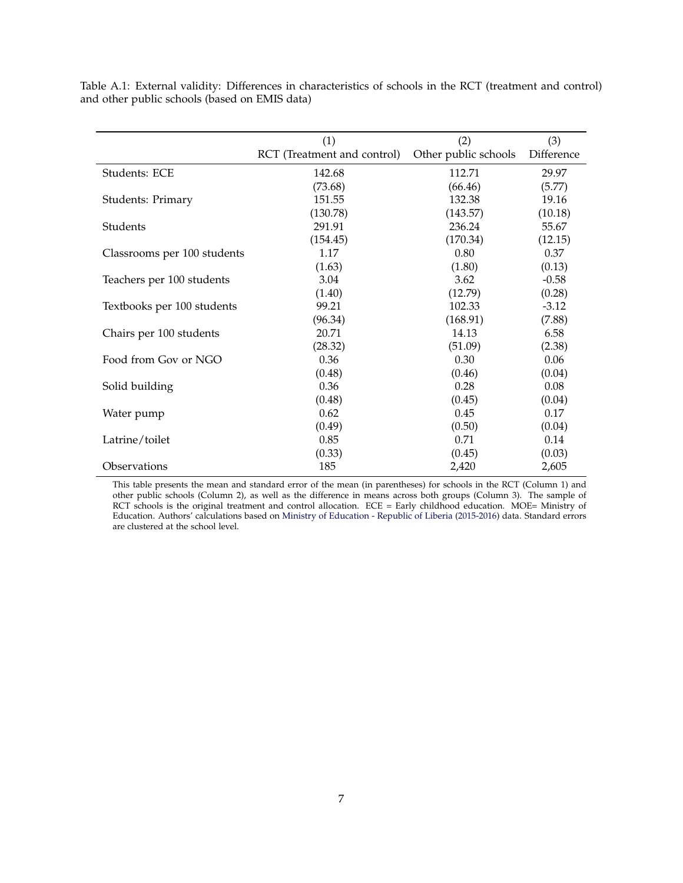|                             | (1)                         | (2)                  | (3)        |
|-----------------------------|-----------------------------|----------------------|------------|
|                             | RCT (Treatment and control) | Other public schools | Difference |
| Students: ECE               | 142.68                      | 112.71               | 29.97      |
|                             | (73.68)                     | (66.46)              | (5.77)     |
| Students: Primary           | 151.55                      | 132.38               | 19.16      |
|                             | (130.78)                    | (143.57)             | (10.18)    |
| Students                    | 291.91                      | 236.24               | 55.67      |
|                             | (154.45)                    | (170.34)             | (12.15)    |
| Classrooms per 100 students | 1.17                        | 0.80                 | 0.37       |
|                             | (1.63)                      | (1.80)               | (0.13)     |
| Teachers per 100 students   | 3.04                        | 3.62                 | $-0.58$    |
|                             | (1.40)                      | (12.79)              | (0.28)     |
| Textbooks per 100 students  | 99.21                       | 102.33               | $-3.12$    |
|                             | (96.34)                     | (168.91)             | (7.88)     |
| Chairs per 100 students     | 20.71                       | 14.13                | 6.58       |
|                             | (28.32)                     | (51.09)              | (2.38)     |
| Food from Gov or NGO        | 0.36                        | 0.30                 | 0.06       |
|                             | (0.48)                      | (0.46)               | (0.04)     |
| Solid building              | 0.36                        | 0.28                 | 0.08       |
|                             | (0.48)                      | (0.45)               | (0.04)     |
| Water pump                  | 0.62                        | 0.45                 | 0.17       |
|                             | (0.49)                      | (0.50)               | (0.04)     |
| Latrine/toilet              | 0.85                        | 0.71                 | 0.14       |
|                             | (0.33)                      | (0.45)               | (0.03)     |
| Observations                | 185                         | 2,420                | 2,605      |

Table A.1: External validity: Differences in characteristics of schools in the RCT (treatment and control) and other public schools (based on EMIS data)

This table presents the mean and standard error of the mean (in parentheses) for schools in the RCT (Column 1) and other public schools (Column 2), as well as the difference in means across both groups (Column 3). The sample of RCT schools is the original treatment and control allocation. ECE = Early childhood education. MOE= Ministry of Education. Authors' calculations based on Ministry of Education - Republic of Liberia (2015-2016) data. Standard errors are clustered at the school level.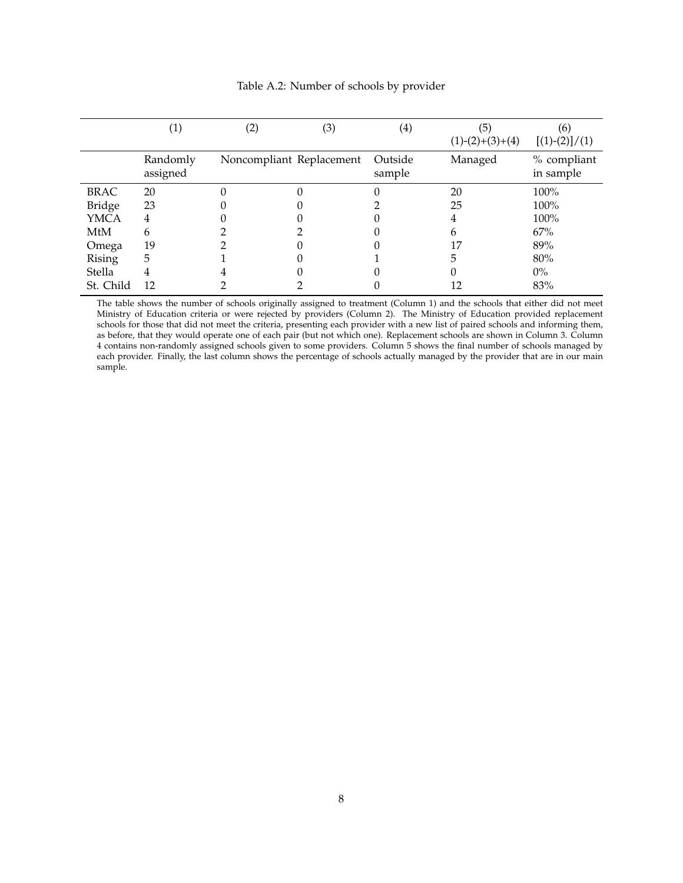|               | $\left(1\right)$     | (2) | (3)                      | $\left( 4\right)$ | (5)<br>$(1)-(2)+(3)+(4)$ | (6)<br>$[(1)-(2)]/(1)$   |
|---------------|----------------------|-----|--------------------------|-------------------|--------------------------|--------------------------|
|               | Randomly<br>assigned |     | Noncompliant Replacement | Outside<br>sample | Managed                  | % compliant<br>in sample |
| <b>BRAC</b>   | 20                   |     |                          |                   | 20                       | 100%                     |
| <b>Bridge</b> | 23                   |     |                          |                   | 25                       | 100%                     |
| <b>YMCA</b>   | 4                    |     |                          |                   | 4                        | 100%                     |
| MtM           | 6                    |     |                          |                   | h                        | 67%                      |
| Omega         | 19                   |     |                          |                   | 17                       | 89%                      |
| Rising        | 5                    |     |                          |                   | 5                        | 80%                      |
| Stella        | 4                    |     |                          |                   |                          | $0\%$                    |
| St. Child     | 12                   |     |                          |                   | 12                       | 83%                      |

#### Table A.2: Number of schools by provider

The table shows the number of schools originally assigned to treatment (Column 1) and the schools that either did not meet Ministry of Education criteria or were rejected by providers (Column 2). The Ministry of Education provided replacement schools for those that did not meet the criteria, presenting each provider with a new list of paired schools and informing them, as before, that they would operate one of each pair (but not which one). Replacement schools are shown in Column 3. Column 4 contains non-randomly assigned schools given to some providers. Column 5 shows the final number of schools managed by each provider. Finally, the last column shows the percentage of schools actually managed by the provider that are in our main sample.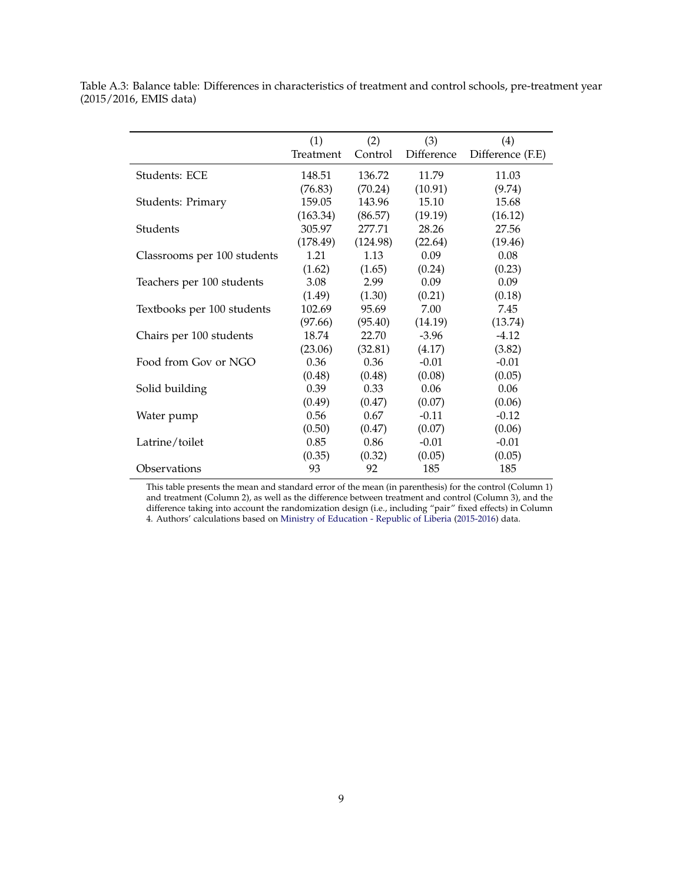|                             | (1)       | (2)      | (3)        | (4)              |
|-----------------------------|-----------|----------|------------|------------------|
|                             | Treatment | Control  | Difference | Difference (F.E) |
| Students: ECE               | 148.51    | 136.72   | 11.79      | 11.03            |
|                             | (76.83)   | (70.24)  | (10.91)    | (9.74)           |
| Students: Primary           | 159.05    | 143.96   | 15.10      | 15.68            |
|                             | (163.34)  | (86.57)  | (19.19)    | (16.12)          |
| Students                    | 305.97    | 277.71   | 28.26      | 27.56            |
|                             | (178.49)  | (124.98) | (22.64)    | (19.46)          |
| Classrooms per 100 students | 1.21      | 1.13     | 0.09       | 0.08             |
|                             | (1.62)    | (1.65)   | (0.24)     | (0.23)           |
| Teachers per 100 students   | 3.08      | 2.99     | 0.09       | 0.09             |
|                             | (1.49)    | (1.30)   | (0.21)     | (0.18)           |
| Textbooks per 100 students  | 102.69    | 95.69    | 7.00       | 7.45             |
|                             | (97.66)   | (95.40)  | (14.19)    | (13.74)          |
| Chairs per 100 students     | 18.74     | 22.70    | $-3.96$    | $-4.12$          |
|                             | (23.06)   | (32.81)  | (4.17)     | (3.82)           |
| Food from Gov or NGO        | 0.36      | 0.36     | $-0.01$    | $-0.01$          |
|                             | (0.48)    | (0.48)   | (0.08)     | (0.05)           |
| Solid building              | 0.39      | 0.33     | 0.06       | 0.06             |
|                             | (0.49)    | (0.47)   | (0.07)     | (0.06)           |
| Water pump                  | 0.56      | 0.67     | $-0.11$    | $-0.12$          |
|                             | (0.50)    | (0.47)   | (0.07)     | (0.06)           |
| Latrine/toilet              | 0.85      | 0.86     | $-0.01$    | $-0.01$          |
|                             | (0.35)    | (0.32)   | (0.05)     | (0.05)           |
| Observations                | 93        | 92       | 185        | 185              |

Table A.3: Balance table: Differences in characteristics of treatment and control schools, pre-treatment year (2015/2016, EMIS data)

This table presents the mean and standard error of the mean (in parenthesis) for the control (Column 1) and treatment (Column 2), as well as the difference between treatment and control (Column 3), and the difference taking into account the randomization design (i.e., including "pair" fixed effects) in Column 4. Authors' calculations based on Ministry of Education - Republic of Liberia (2015-2016) data.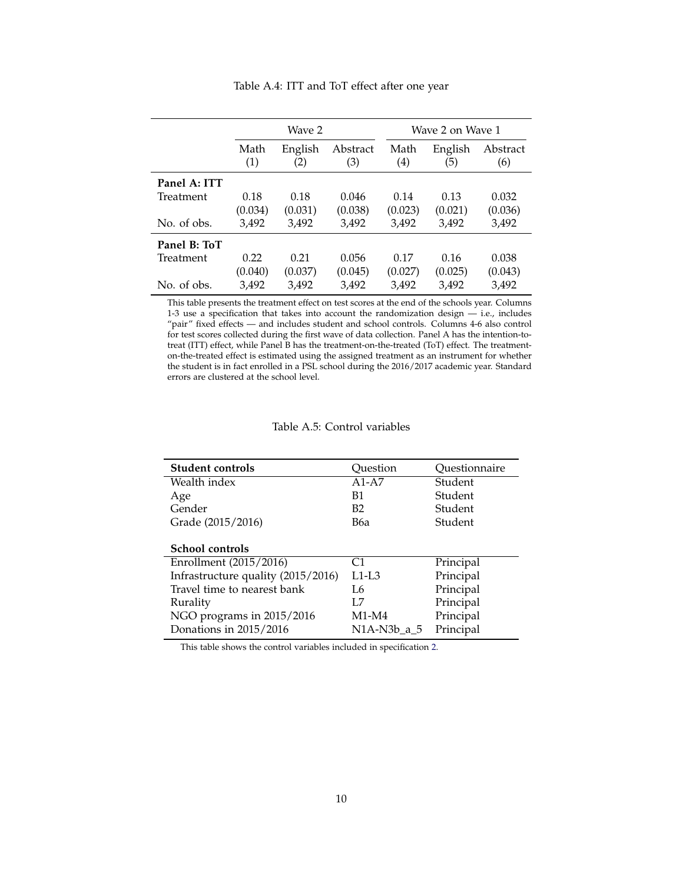|              |             | Wave 2         |                 |             | Wave 2 on Wave 1 |                 |  |
|--------------|-------------|----------------|-----------------|-------------|------------------|-----------------|--|
|              | Math<br>(1) | English<br>(2) | Abstract<br>(3) | Math<br>(4) | English<br>(5)   | Abstract<br>(6) |  |
| Panel A: ITT |             |                |                 |             |                  |                 |  |
| Treatment    | 0.18        | 0.18           | 0.046           | 0.14        | 0.13             | 0.032           |  |
|              | (0.034)     | (0.031)        | (0.038)         | (0.023)     | (0.021)          | (0.036)         |  |
| No. of obs.  | 3,492       | 3,492          | 3,492           | 3,492       | 3,492            | 3,492           |  |
| Panel B: ToT |             |                |                 |             |                  |                 |  |
| Treatment    | 0.22        | 0.21           | 0.056           | 0.17        | 0.16             | 0.038           |  |
|              | (0.040)     | (0.037)        | (0.045)         | (0.027)     | (0.025)          | (0.043)         |  |
| No. of obs.  | 3,492       | 3.492          | 3.492           | 3.492       | 3.492            | 3,492           |  |

Table A.4: ITT and ToT effect after one year

This table presents the treatment effect on test scores at the end of the schools year. Columns 1-3 use a specification that takes into account the randomization design — i.e., includes "pair" fixed effects — and includes student and school controls. Columns 4-6 also control for test scores collected during the first wave of data collection. Panel A has the intention-totreat (ITT) effect, while Panel B has the treatment-on-the-treated (ToT) effect. The treatmenton-the-treated effect is estimated using the assigned treatment as an instrument for whether the student is in fact enrolled in a PSL school during the 2016/2017 academic year. Standard errors are clustered at the school level.

| <b>Student controls</b>            | Ouestion    | Ouestionnaire |
|------------------------------------|-------------|---------------|
| Wealth index                       | $A1-A7$     | Student       |
| Age                                | B1          | Student       |
| Gender                             | B2          | Student       |
| Grade (2015/2016)                  | В6а         | Student       |
|                                    |             |               |
| <b>School controls</b>             |             |               |
| Enrollment (2015/2016)             | C1          | Principal     |
| Infrastructure quality (2015/2016) | $L1-L3$     | Principal     |
| Travel time to nearest bank        | I 6         | Principal     |
| Rurality                           | I .7        | Principal     |
| NGO programs in 2015/2016          | $M1-M4$     | Principal     |
| Donations in 2015/2016             | N1A-N3b a 5 | Principal     |
|                                    |             |               |

This table shows the control variables included in specification 2.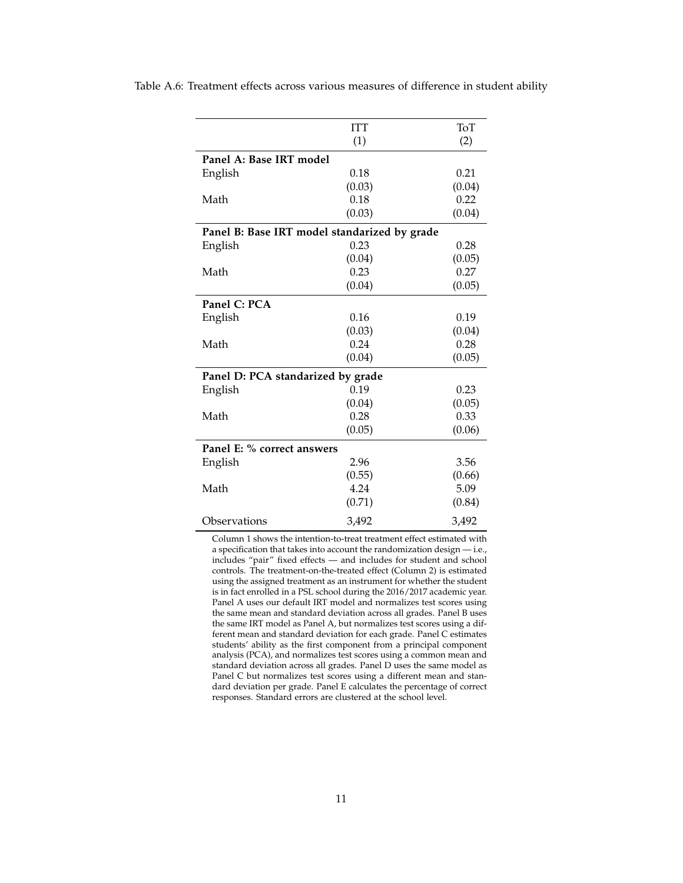|                                   | <b>ITT</b>                                   | ToT    |
|-----------------------------------|----------------------------------------------|--------|
|                                   | (1)                                          | (2)    |
| Panel A: Base IRT model           |                                              |        |
| English                           | 0.18                                         | 0.21   |
|                                   | (0.03)                                       | (0.04) |
| Math                              | 0.18                                         | 0.22   |
|                                   | (0.03)                                       | (0.04) |
|                                   | Panel B: Base IRT model standarized by grade |        |
| English                           | 0.23                                         | 0.28   |
|                                   | (0.04)                                       | (0.05) |
| Math                              | 0.23                                         | 0.27   |
|                                   | (0.04)                                       | (0.05) |
| Panel C: PCA                      |                                              |        |
| English                           | 0.16                                         | 0.19   |
|                                   | (0.03)                                       | (0.04) |
| Math                              | 0.24                                         | 0.28   |
|                                   | (0.04)                                       | (0.05) |
| Panel D: PCA standarized by grade |                                              |        |
| English                           | 0.19                                         | 0.23   |
|                                   | (0.04)                                       | (0.05) |
| Math                              | 0.28                                         | 0.33   |
|                                   | (0.05)                                       | (0.06) |
| Panel E: % correct answers        |                                              |        |
| English                           | 2.96                                         | 3.56   |
|                                   | (0.55)                                       | (0.66) |
| Math                              | 4.24                                         | 5.09   |
|                                   | (0.71)                                       | (0.84) |
| Observations                      | 3,492                                        | 3,492  |

Table A.6: Treatment effects across various measures of difference in student ability

Column 1 shows the intention-to-treat treatment effect estimated with a specification that takes into account the randomization design — i.e., includes "pair" fixed effects — and includes for student and school controls. The treatment-on-the-treated effect (Column 2) is estimated using the assigned treatment as an instrument for whether the student is in fact enrolled in a PSL school during the 2016/2017 academic year. Panel A uses our default IRT model and normalizes test scores using the same mean and standard deviation across all grades. Panel B uses the same IRT model as Panel A, but normalizes test scores using a different mean and standard deviation for each grade. Panel C estimates students' ability as the first component from a principal component analysis (PCA), and normalizes test scores using a common mean and standard deviation across all grades. Panel D uses the same model as Panel C but normalizes test scores using a different mean and standard deviation per grade. Panel E calculates the percentage of correct responses. Standard errors are clustered at the school level.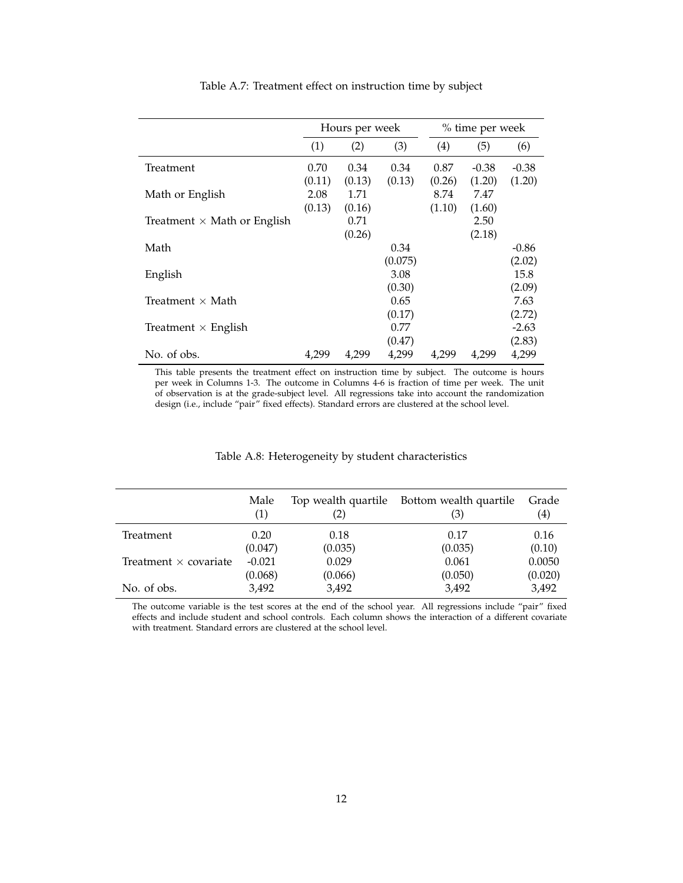|                                    |                          | Hours per week           |                           | % time per week          |                          |                          |
|------------------------------------|--------------------------|--------------------------|---------------------------|--------------------------|--------------------------|--------------------------|
|                                    | (1)                      | (2)                      | (3)                       | (4)                      | (5)                      | (6)                      |
| Treatment                          | 0.70                     | 0.34                     | 0.34                      | 0.87                     | $-0.38$                  | $-0.38$                  |
| Math or English                    | (0.11)<br>2.08<br>(0.13) | (0.13)<br>1.71<br>(0.16) | (0.13)                    | (0.26)<br>8.74<br>(1.10) | (1.20)<br>7.47<br>(1.60) | (1.20)                   |
| Treatment $\times$ Math or English |                          | 0.71                     |                           |                          | 2.50                     |                          |
|                                    |                          | (0.26)                   |                           |                          | (2.18)                   |                          |
| Math                               |                          |                          | 0.34                      |                          |                          | $-0.86$                  |
| English                            |                          |                          | (0.075)<br>3.08<br>(0.30) |                          |                          | (2.02)<br>15.8<br>(2.09) |
| Treatment $\times$ Math            |                          |                          | 0.65                      |                          |                          | 7.63                     |
|                                    |                          |                          | (0.17)                    |                          |                          | (2.72)                   |
| Treatment $\times$ English         |                          |                          | 0.77                      |                          |                          | $-2.63$                  |
|                                    |                          |                          | (0.47)                    |                          |                          | (2.83)                   |
| No. of obs.                        | 4.299                    | 4.299                    | 4,299                     | 4.299                    | 4.299                    | 4,299                    |

Table A.7: Treatment effect on instruction time by subject

This table presents the treatment effect on instruction time by subject. The outcome is hours per week in Columns 1-3. The outcome in Columns 4-6 is fraction of time per week. The unit of observation is at the grade-subject level. All regressions take into account the randomization design (i.e., include "pair" fixed effects). Standard errors are clustered at the school level.

|                              | Male<br>(1) | (2)     | Top wealth quartile Bottom wealth quartile<br>(3) | Grade<br>(4) |
|------------------------------|-------------|---------|---------------------------------------------------|--------------|
| Treatment                    | 0.20        | 0.18    | 0.17                                              | 0.16         |
|                              | (0.047)     | (0.035) | (0.035)                                           | (0.10)       |
| Treatment $\times$ covariate | $-0.021$    | 0.029   | 0.061                                             | 0.0050       |
|                              | (0.068)     | (0.066) | (0.050)                                           | (0.020)      |
| No. of obs.                  | 3,492       | 3,492   | 3,492                                             | 3,492        |

#### Table A.8: Heterogeneity by student characteristics

The outcome variable is the test scores at the end of the school year. All regressions include "pair" fixed effects and include student and school controls. Each column shows the interaction of a different covariate with treatment. Standard errors are clustered at the school level.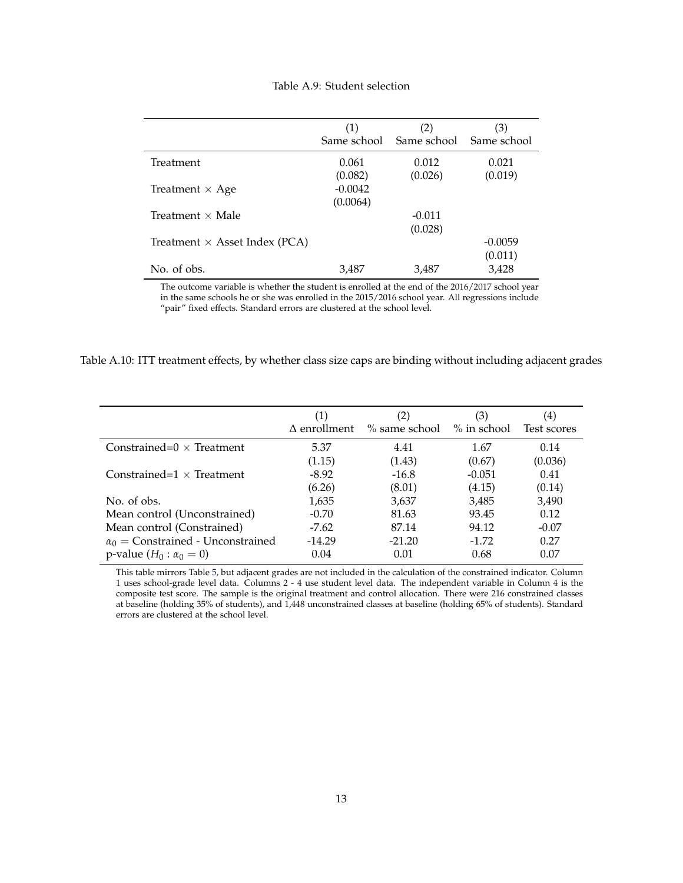| Table A.9: Student selection |
|------------------------------|
|                              |

|                                      | (1)                   | (2)<br>Same school Same school | (3)<br>Same school   |
|--------------------------------------|-----------------------|--------------------------------|----------------------|
| Treatment                            | 0.061<br>(0.082)      | 0.012<br>(0.026)               | 0.021<br>(0.019)     |
| Treatment $\times$ Age               | $-0.0042$<br>(0.0064) |                                |                      |
| Treatment $\times$ Male              |                       | $-0.011$<br>(0.028)            |                      |
| Treatment $\times$ Asset Index (PCA) |                       |                                | $-0.0059$<br>(0.011) |
| No. of obs.                          | 3,487                 | 3,487                          | 3,428                |

The outcome variable is whether the student is enrolled at the end of the 2016/2017 school year in the same schools he or she was enrolled in the 2015/2016 school year. All regressions include "pair" fixed effects. Standard errors are clustered at the school level.

| Table A.10: ITT treatment effects, by whether class size caps are binding without including adjacent grades |  |  |  |
|-------------------------------------------------------------------------------------------------------------|--|--|--|
|                                                                                                             |  |  |  |
|                                                                                                             |  |  |  |
|                                                                                                             |  |  |  |

| (1)<br>$\Delta$ enrollment | (2)<br>$\%$ same school | (3)<br>$\%$ in school | (4)<br>Test scores |
|----------------------------|-------------------------|-----------------------|--------------------|
|                            |                         |                       |                    |
|                            |                         |                       | 0.14               |
| (1.15)                     | (1.43)                  | (0.67)                | (0.036)            |
| $-8.92$                    | $-16.8$                 | $-0.051$              | 0.41               |
| (6.26)                     | (8.01)                  | (4.15)                | (0.14)             |
| 1,635                      | 3,637                   | 3,485                 | 3,490              |
| $-0.70$                    | 81.63                   | 93.45                 | 0.12               |
| $-7.62$                    | 87.14                   | 94.12                 | $-0.07$            |
| $-14.29$                   | $-21.20$                | $-1.72$               | 0.27               |
| 0.04                       | 0.01                    | 0.68                  | 0.07               |
|                            | 5.37                    | 4.41                  | 1.67               |

This table mirrors Table 5, but adjacent grades are not included in the calculation of the constrained indicator. Column 1 uses school-grade level data. Columns 2 - 4 use student level data. The independent variable in Column 4 is the composite test score. The sample is the original treatment and control allocation. There were 216 constrained classes at baseline (holding 35% of students), and 1,448 unconstrained classes at baseline (holding 65% of students). Standard errors are clustered at the school level.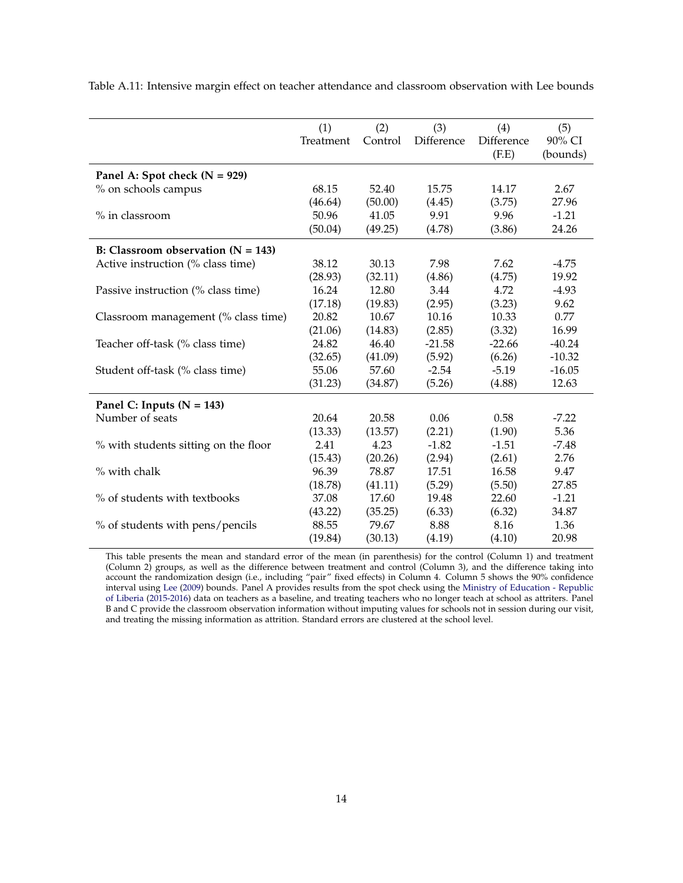|                                      | (1)       | (2)     | (3)        | (4)        | (5)      |
|--------------------------------------|-----------|---------|------------|------------|----------|
|                                      | Treatment | Control | Difference | Difference | 90% CI   |
|                                      |           |         |            | (E.E)      | (bounds) |
| Panel A: Spot check $(N = 929)$      |           |         |            |            |          |
| % on schools campus                  | 68.15     | 52.40   | 15.75      | 14.17      | 2.67     |
|                                      | (46.64)   | (50.00) | (4.45)     | (3.75)     | 27.96    |
| % in classroom                       | 50.96     | 41.05   | 9.91       | 9.96       | $-1.21$  |
|                                      | (50.04)   | (49.25) | (4.78)     | (3.86)     | 24.26    |
| B: Classroom observation $(N = 143)$ |           |         |            |            |          |
| Active instruction (% class time)    | 38.12     | 30.13   | 7.98       | 7.62       | $-4.75$  |
|                                      | (28.93)   | (32.11) | (4.86)     | (4.75)     | 19.92    |
| Passive instruction (% class time)   | 16.24     | 12.80   | 3.44       | 4.72       | $-4.93$  |
|                                      | (17.18)   | (19.83) | (2.95)     | (3.23)     | 9.62     |
| Classroom management (% class time)  | 20.82     | 10.67   | 10.16      | 10.33      | 0.77     |
|                                      | (21.06)   | (14.83) | (2.85)     | (3.32)     | 16.99    |
| Teacher off-task (% class time)      | 24.82     | 46.40   | $-21.58$   | $-22.66$   | $-40.24$ |
|                                      | (32.65)   | (41.09) | (5.92)     | (6.26)     | $-10.32$ |
| Student off-task (% class time)      | 55.06     | 57.60   | $-2.54$    | $-5.19$    | $-16.05$ |
|                                      | (31.23)   | (34.87) | (5.26)     | (4.88)     | 12.63    |
| Panel C: Inputs ( $N = 143$ )        |           |         |            |            |          |
| Number of seats                      | 20.64     | 20.58   | 0.06       | 0.58       | $-7.22$  |
|                                      | (13.33)   | (13.57) | (2.21)     | (1.90)     | 5.36     |
| % with students sitting on the floor | 2.41      | 4.23    | $-1.82$    | $-1.51$    | $-7.48$  |
|                                      | (15.43)   | (20.26) | (2.94)     | (2.61)     | 2.76     |
| % with chalk                         | 96.39     | 78.87   | 17.51      | 16.58      | 9.47     |
|                                      | (18.78)   | (41.11) | (5.29)     | (5.50)     | 27.85    |
| % of students with textbooks         | 37.08     | 17.60   | 19.48      | 22.60      | $-1.21$  |
|                                      | (43.22)   | (35.25) | (6.33)     | (6.32)     | 34.87    |
| % of students with pens/pencils      | 88.55     | 79.67   | 8.88       | 8.16       | 1.36     |
|                                      | (19.84)   | (30.13) | (4.19)     | (4.10)     | 20.98    |

Table A.11: Intensive margin effect on teacher attendance and classroom observation with Lee bounds

This table presents the mean and standard error of the mean (in parenthesis) for the control (Column 1) and treatment (Column 2) groups, as well as the difference between treatment and control (Column 3), and the difference taking into account the randomization design (i.e., including "pair" fixed effects) in Column 4. Column 5 shows the 90% confidence interval using Lee (2009) bounds. Panel A provides results from the spot check using the Ministry of Education - Republic of Liberia (2015-2016) data on teachers as a baseline, and treating teachers who no longer teach at school as attriters. Panel B and C provide the classroom observation information without imputing values for schools not in session during our visit, and treating the missing information as attrition. Standard errors are clustered at the school level.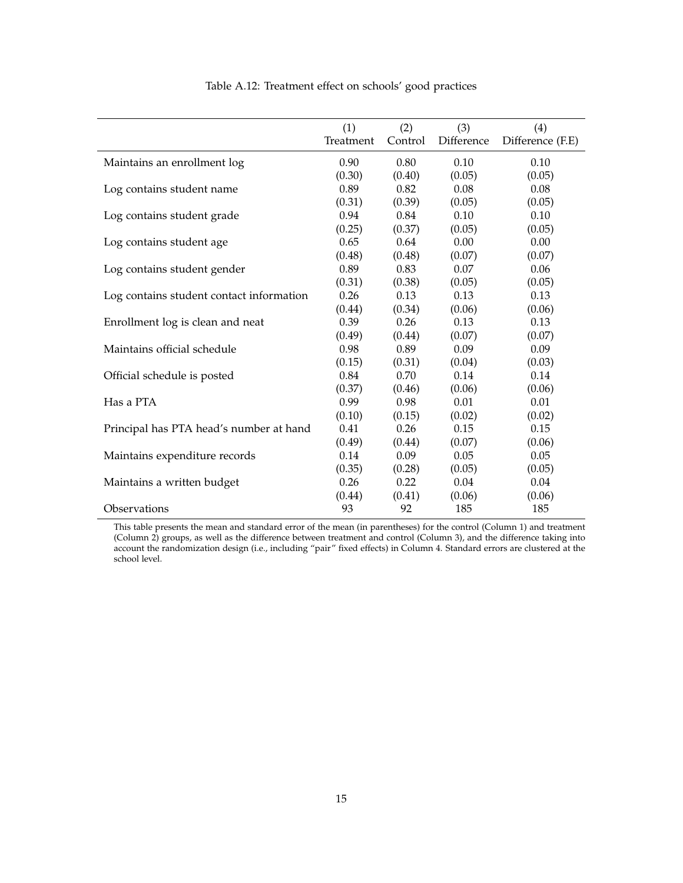|                                          | (1)<br>Treatment | (2)<br>Control | (3)<br>Difference | (4)<br>Difference (F.E) |
|------------------------------------------|------------------|----------------|-------------------|-------------------------|
| Maintains an enrollment log              | 0.90             | 0.80           | 0.10              | 0.10                    |
|                                          | (0.30)           | (0.40)         | (0.05)            | (0.05)                  |
| Log contains student name                | 0.89             | 0.82           | 0.08              | 0.08                    |
|                                          | (0.31)           | (0.39)         | (0.05)            | (0.05)                  |
| Log contains student grade               | 0.94             | 0.84           | 0.10              | 0.10                    |
|                                          | (0.25)           | (0.37)         | (0.05)            | (0.05)                  |
| Log contains student age                 | 0.65             | 0.64           | 0.00              | 0.00                    |
|                                          | (0.48)           | (0.48)         | (0.07)            | (0.07)                  |
| Log contains student gender              | 0.89             | 0.83           | 0.07              | 0.06                    |
|                                          | (0.31)           | (0.38)         | (0.05)            | (0.05)                  |
| Log contains student contact information | 0.26             | 0.13           | 0.13              | 0.13                    |
|                                          | (0.44)           | (0.34)         | (0.06)            | (0.06)                  |
| Enrollment log is clean and neat         | 0.39             | 0.26           | 0.13              | 0.13                    |
|                                          | (0.49)           | (0.44)         | (0.07)            | (0.07)                  |
| Maintains official schedule              | 0.98             | 0.89           | 0.09              | 0.09                    |
|                                          | (0.15)           | (0.31)         | (0.04)            | (0.03)                  |
| Official schedule is posted              | 0.84             | 0.70           | 0.14              | 0.14                    |
|                                          | (0.37)           | (0.46)         | (0.06)            | (0.06)                  |
| Has a PTA                                | 0.99             | 0.98           | 0.01              | 0.01                    |
|                                          | (0.10)           | (0.15)         | (0.02)            | (0.02)                  |
| Principal has PTA head's number at hand  | 0.41             | 0.26           | 0.15              | 0.15                    |
|                                          | (0.49)           | (0.44)         | (0.07)            | (0.06)                  |
| Maintains expenditure records            | 0.14             | 0.09           | 0.05              | 0.05                    |
|                                          | (0.35)           | (0.28)         | (0.05)            | (0.05)                  |
| Maintains a written budget               | 0.26             | 0.22           | 0.04              | 0.04                    |
|                                          | (0.44)           | (0.41)         | (0.06)            | (0.06)                  |
| Observations                             | 93               | 92             | 185               | 185                     |

Table A.12: Treatment effect on schools' good practices

This table presents the mean and standard error of the mean (in parentheses) for the control (Column 1) and treatment (Column 2) groups, as well as the difference between treatment and control (Column 3), and the difference taking into account the randomization design (i.e., including "pair" fixed effects) in Column 4. Standard errors are clustered at the school level.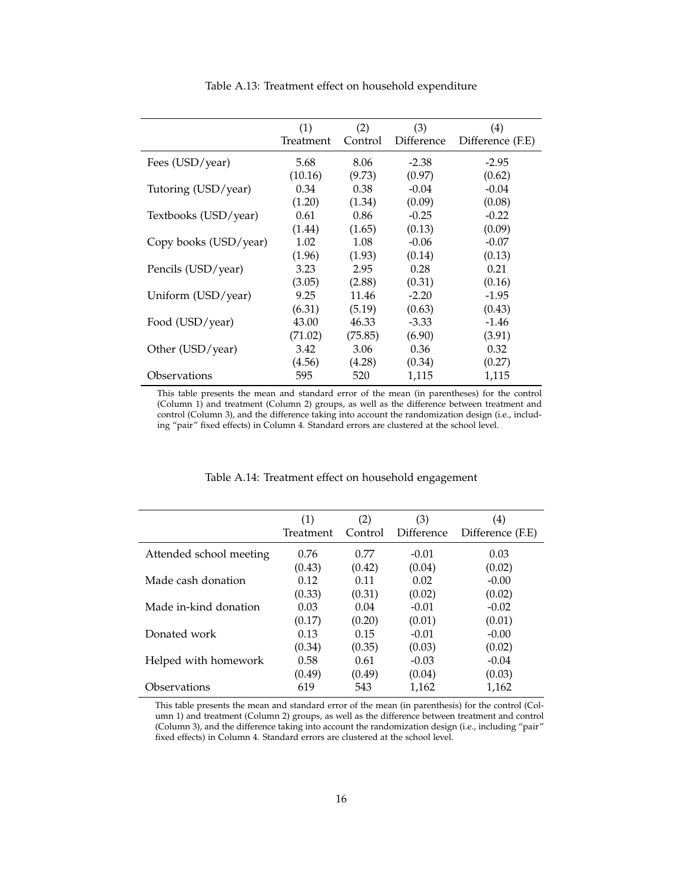|                       | (1)<br>Treatment | (2)<br>Control | (3)<br>Difference | (4)<br>Difference (F.E) |
|-----------------------|------------------|----------------|-------------------|-------------------------|
|                       |                  |                |                   |                         |
| Fees (USD/year)       | 5.68             | 8.06           | $-2.38$           | $-2.95$                 |
|                       | (10.16)          | (9.73)         | (0.97)            | (0.62)                  |
| Tutoring (USD/year)   | 0.34             | 0.38           | $-0.04$           | $-0.04$                 |
|                       | (1.20)           | (1.34)         | (0.09)            | (0.08)                  |
| Textbooks (USD/year)  | 0.61             | 0.86           | $-0.25$           | $-0.22$                 |
|                       | (1.44)           | (1.65)         | (0.13)            | (0.09)                  |
| Copy books (USD/year) | 1.02             | 1.08           | $-0.06$           | $-0.07$                 |
|                       | (1.96)           | (1.93)         | (0.14)            | (0.13)                  |
| Pencils (USD/year)    | 3.23             | 2.95           | 0.28              | 0.21                    |
|                       | (3.05)           | (2.88)         | (0.31)            | (0.16)                  |
| Uniform (USD/year)    | 9.25             | 11.46          | $-2.20$           | $-1.95$                 |
|                       | (6.31)           | (5.19)         | (0.63)            | (0.43)                  |
| Food (USD/year)       | 43.00            | 46.33          | $-3.33$           | $-1.46$                 |
|                       | (71.02)          | (75.85)        | (6.90)            | (3.91)                  |
| Other (USD/year)      | 3.42             | 3.06           | 0.36              | 0.32                    |
|                       | (4.56)           | (4.28)         | (0.34)            | (0.27)                  |
| Observations          | 595              | 520            | 1,115             | 1,115                   |

Table A.13: Treatment effect on household expenditure

This table presents the mean and standard error of the mean (in parentheses) for the control (Column 1) and treatment (Column 2) groups, as well as the difference between treatment and control (Column 3), and the difference taking into account the randomization design (i.e., including "pair" fixed effects) in Column 4. Standard errors are clustered at the school level.

|                         | (1)       | (2)     | (3)        | (4)              |
|-------------------------|-----------|---------|------------|------------------|
|                         | Treatment | Control | Difference | Difference (F.E) |
| Attended school meeting | 0.76      | 0.77    | $-0.01$    | 0.03             |
|                         | (0.43)    | (0.42)  | (0.04)     | (0.02)           |
| Made cash donation      | 0.12      | 0.11    | 0.02       | $-0.00$          |
|                         | (0.33)    | (0.31)  | (0.02)     | (0.02)           |
| Made in-kind donation   | 0.03      | 0.04    | $-0.01$    | $-0.02$          |
|                         | (0.17)    | (0.20)  | (0.01)     | (0.01)           |
| Donated work            | 0.13      | 0.15    | $-0.01$    | $-0.00$          |
|                         | (0.34)    | (0.35)  | (0.03)     | (0.02)           |
| Helped with homework    | 0.58      | 0.61    | $-0.03$    | $-0.04$          |
|                         | (0.49)    | (0.49)  | (0.04)     | (0.03)           |
| Observations            | 619       | 543     | 1.162      | 1,162            |

#### Table A.14: Treatment effect on household engagement

This table presents the mean and standard error of the mean (in parenthesis) for the control (Column 1) and treatment (Column 2) groups, as well as the difference between treatment and control (Column 3), and the difference taking into account the randomization design (i.e., including "pair" fixed effects) in Column 4. Standard errors are clustered at the school level.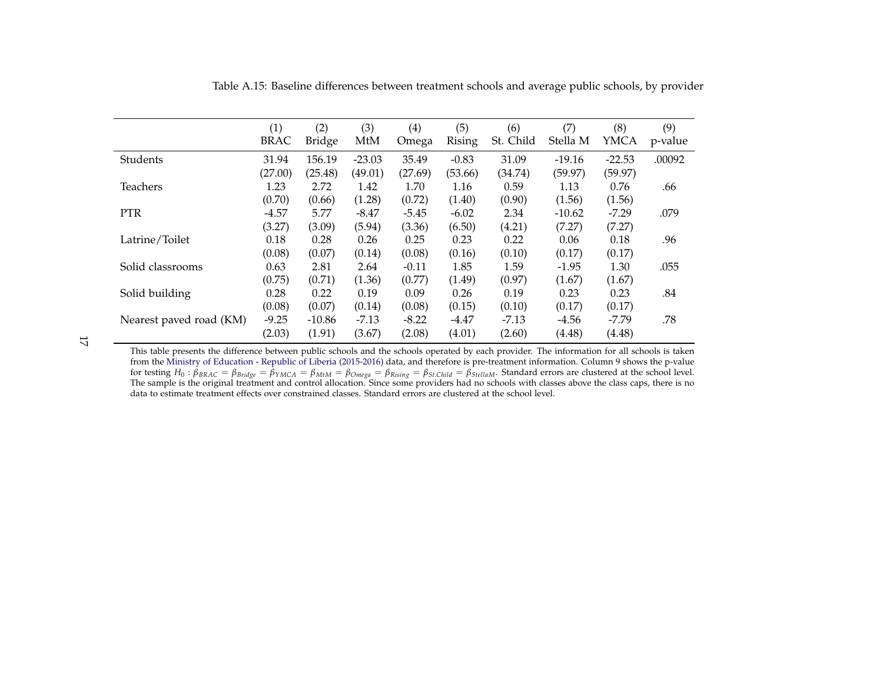|                         | (1)<br><b>BRAC</b> | (2)<br><b>Bridge</b> | (3)<br>MtM | (4)<br>Omega | (5)<br><b>Rising</b> | (6)<br>St. Child | (7)<br>Stella M | (8)<br><b>YMCA</b> | (9)<br>p-value |
|-------------------------|--------------------|----------------------|------------|--------------|----------------------|------------------|-----------------|--------------------|----------------|
| Students                | 31.94              | 156.19               | $-23.03$   | 35.49        | $-0.83$              | 31.09            | $-19.16$        | $-22.53$           | .00092         |
|                         | (27.00)            | (25.48)              | (49.01)    | (27.69)      | (53.66)              | (34.74)          | (59.97)         | (59.97)            |                |
| Teachers                | 1.23               | 2.72                 | 1.42       | 1.70         | 1.16                 | 0.59             | 1.13            | 0.76               | .66            |
|                         | (0.70)             | (0.66)               | (1.28)     | (0.72)       | (1.40)               | (0.90)           | (1.56)          | (1.56)             |                |
| <b>PTR</b>              | $-4.57$            | 5.77                 | $-8.47$    | $-5.45$      | $-6.02$              | 2.34             | $-10.62$        | $-7.29$            | .079           |
|                         | (3.27)             | (3.09)               | (5.94)     | (3.36)       | (6.50)               | (4.21)           | (7.27)          | (7.27)             |                |
| Latrine/Toilet          | 0.18               | 0.28                 | 0.26       | 0.25         | 0.23                 | 0.22             | 0.06            | 0.18               | .96            |
|                         | (0.08)             | (0.07)               | (0.14)     | (0.08)       | (0.16)               | (0.10)           | (0.17)          | (0.17)             |                |
| Solid classrooms        | 0.63               | 2.81                 | 2.64       | $-0.11$      | 1.85                 | 1.59             | $-1.95$         | 1.30               | .055           |
|                         | (0.75)             | (0.71)               | (1.36)     | (0.77)       | (1.49)               | (0.97)           | (1.67)          | (1.67)             |                |
| Solid building          | 0.28               | 0.22                 | 0.19       | 0.09         | 0.26                 | 0.19             | 0.23            | 0.23               | .84            |
|                         | (0.08)             | (0.07)               | (0.14)     | (0.08)       | (0.15)               | (0.10)           | (0.17)          | (0.17)             |                |
| Nearest paved road (KM) | $-9.25$            | $-10.86$             | $-7.13$    | $-8.22$      | $-4.47$              | $-7.13$          | $-4.56$         | $-7.79$            | .78            |
|                         | (2.03)             | (1.91)               | (3.67)     | (2.08)       | (4.01)               | (2.60)           | (4.48)          | (4.48)             |                |

Table A.15: Baseline differences between treatment schools and average public schools, by provider

17

This table presents the difference between public schools and the schools operated by each provider. The information for all schools is taken<br>from the Ministry of Education - Republic of Liberia (2015-2016) data, and ther for testing  $H_0: \beta_{BRAC} = \beta_{Bridge} = \beta_{YMCA} = \beta_{MtM} = \beta_{Omega} = \beta_{Rising} = \beta_{St.Child} = \beta_{St.ellam}$ . Standard errors are clustered at the school level.<br>The sample is the original treatment and control allocation. Since some providers had no sch data to estimate treatment effects over constrained classes. Standard errors are clustered at the school level.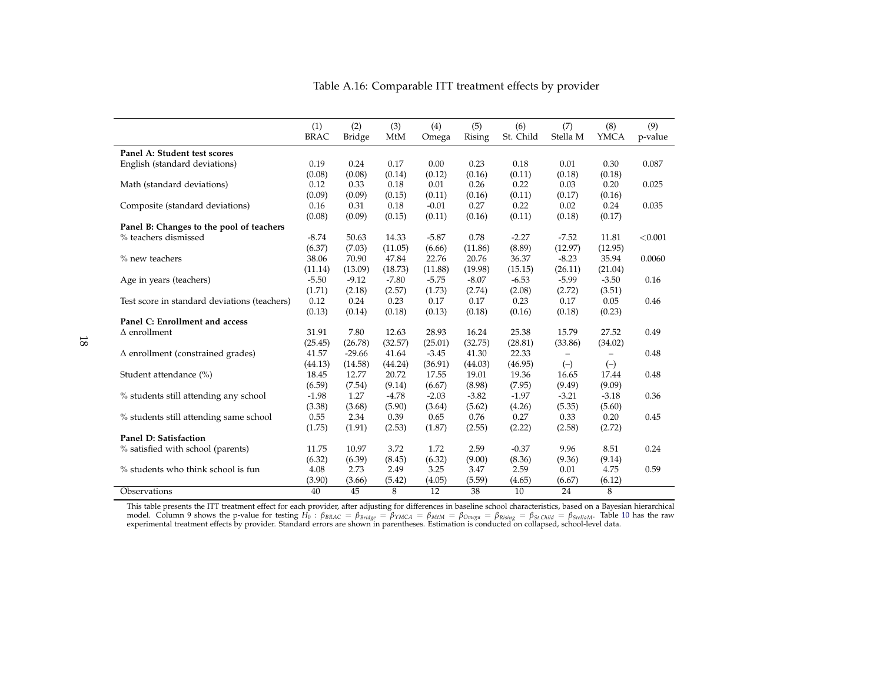|                                              | (1)         | (2)           | (3)            | (4)             | (5)     | (6)       | (7)                      | (8)            | (9)     |
|----------------------------------------------|-------------|---------------|----------------|-----------------|---------|-----------|--------------------------|----------------|---------|
|                                              | <b>BRAC</b> | <b>Bridge</b> | MtM            | Omega           | Rising  | St. Child | Stella M                 | <b>YMCA</b>    | p-value |
| Panel A: Student test scores                 |             |               |                |                 |         |           |                          |                |         |
| English (standard deviations)                | 0.19        | 0.24          | 0.17           | 0.00            | 0.23    | 0.18      | 0.01                     | 0.30           | 0.087   |
|                                              | (0.08)      | (0.08)        | (0.14)         | (0.12)          | (0.16)  | (0.11)    | (0.18)                   | (0.18)         |         |
| Math (standard deviations)                   | 0.12        | 0.33          | 0.18           | 0.01            | 0.26    | 0.22      | 0.03                     | 0.20           | 0.025   |
|                                              | (0.09)      | (0.09)        | (0.15)         | (0.11)          | (0.16)  | (0.11)    | (0.17)                   | (0.16)         |         |
| Composite (standard deviations)              | 0.16        | 0.31          | 0.18           | $-0.01$         | 0.27    | 0.22      | 0.02                     | 0.24           | 0.035   |
|                                              | (0.08)      | (0.09)        | (0.15)         | (0.11)          | (0.16)  | (0.11)    | (0.18)                   | (0.17)         |         |
| Panel B: Changes to the pool of teachers     |             |               |                |                 |         |           |                          |                |         |
| % teachers dismissed                         | $-8.74$     | 50.63         | 14.33          | $-5.87$         | 0.78    | $-2.27$   | $-7.52$                  | 11.81          | < 0.001 |
|                                              | (6.37)      | (7.03)        | (11.05)        | (6.66)          | (11.86) | (8.89)    | (12.97)                  | (12.95)        |         |
| % new teachers                               | 38.06       | 70.90         | 47.84          | 22.76           | 20.76   | 36.37     | $-8.23$                  | 35.94          | 0.0060  |
|                                              | (11.14)     | (13.09)       | (18.73)        | (11.88)         | (19.98) | (15.15)   | (26.11)                  | (21.04)        |         |
| Age in years (teachers)                      | $-5.50$     | $-9.12$       | $-7.80$        | $-5.75$         | $-8.07$ | $-6.53$   | $-5.99$                  | $-3.50$        | 0.16    |
|                                              | (1.71)      | (2.18)        | (2.57)         | (1.73)          | (2.74)  | (2.08)    | (2.72)                   | (3.51)         |         |
| Test score in standard deviations (teachers) | 0.12        | 0.24          | 0.23           | 0.17            | 0.17    | 0.23      | 0.17                     | 0.05           | 0.46    |
|                                              | (0.13)      | (0.14)        | (0.18)         | (0.13)          | (0.18)  | (0.16)    | (0.18)                   | (0.23)         |         |
| Panel C: Enrollment and access               |             |               |                |                 |         |           |                          |                |         |
| $\Delta$ enrollment                          | 31.91       | 7.80          | 12.63          | 28.93           | 16.24   | 25.38     | 15.79                    | 27.52          | 0.49    |
|                                              | (25.45)     | (26.78)       | (32.57)        | (25.01)         | (32.75) | (28.81)   | (33.86)                  | (34.02)        |         |
| $\Delta$ enrollment (constrained grades)     | 41.57       | $-29.66$      | 41.64          | $-3.45$         | 41.30   | 22.33     | $\overline{\phantom{0}}$ |                | 0.48    |
|                                              | (44.13)     | (14.58)       | (44.24)        | (36.91)         | (44.03) | (46.95)   | $(-)$                    | $(-)$          |         |
| Student attendance (%)                       | 18.45       | 12.77         | 20.72          | 17.55           | 19.01   | 19.36     | 16.65                    | 17.44          | 0.48    |
|                                              | (6.59)      | (7.54)        | (9.14)         | (6.67)          | (8.98)  | (7.95)    | (9.49)                   | (9.09)         |         |
| % students still attending any school        | $-1.98$     | 1.27          | $-4.78$        | $-2.03$         | $-3.82$ | $-1.97$   | $-3.21$                  | $-3.18$        | 0.36    |
|                                              | (3.38)      | (3.68)        | (5.90)         | (3.64)          | (5.62)  | (4.26)    | (5.35)                   | (5.60)         |         |
| % students still attending same school       | 0.55        | 2.34          | 0.39           | 0.65            | 0.76    | 0.27      | 0.33                     | 0.20           | 0.45    |
|                                              | (1.75)      | (1.91)        | (2.53)         | (1.87)          | (2.55)  | (2.22)    | (2.58)                   | (2.72)         |         |
| Panel D: Satisfaction                        |             |               |                |                 |         |           |                          |                |         |
| % satisfied with school (parents)            | 11.75       | 10.97         | 3.72           | 1.72            | 2.59    | $-0.37$   | 9.96                     | 8.51           | 0.24    |
|                                              | (6.32)      | (6.39)        | (8.45)         | (6.32)          | (9.00)  | (8.36)    | (9.36)                   | (9.14)         |         |
| % students who think school is fun           | 4.08        | 2.73          | 2.49           | 3.25            | 3.47    | 2.59      | 0.01                     | 4.75           | 0.59    |
|                                              | (3.90)      | (3.66)        | (5.42)         | (4.05)          | (5.59)  | (4.65)    | (6.67)                   | (6.12)         |         |
| Observations                                 | 40          | 45            | $\overline{8}$ | $\overline{12}$ | 38      | 10        | $\overline{24}$          | $\overline{8}$ |         |

Table A.16: Comparable ITT treatment effects by provider

This table presents the ITT treatment effect for each provider, after adjusting for differences in baseline school characteristics, based on a Bayesian hierarchical model. Column 9 shows the p-value for testing  $H_0: \beta_{BRAC$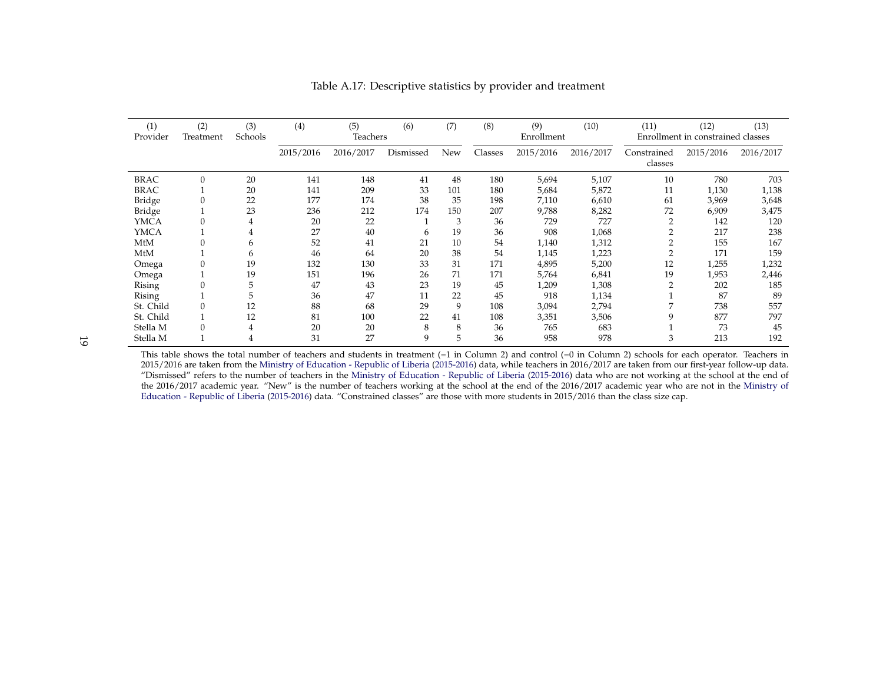| (1)<br>Provider | (2)<br>Treatment | (3)<br>Schools | (4)       | (5)<br>Teachers | (6)       | (7) | (8)     | (9)<br>Enrollment | (10)      | (11)                   | (12)<br>Enrollment in constrained classes | (13)      |
|-----------------|------------------|----------------|-----------|-----------------|-----------|-----|---------|-------------------|-----------|------------------------|-------------------------------------------|-----------|
|                 |                  |                | 2015/2016 | 2016/2017       | Dismissed | New | Classes | 2015/2016         | 2016/2017 | Constrained<br>classes | 2015/2016                                 | 2016/2017 |
| <b>BRAC</b>     | $\Omega$         | 20             | 141       | 148             | 41        | 48  | 180     | 5,694             | 5,107     | 10                     | 780                                       | 703       |
| <b>BRAC</b>     |                  | 20             | 141       | 209             | 33        | 101 | 180     | 5,684             | 5,872     | 11                     | 1,130                                     | 1,138     |
| Bridge          | 0                | 22             | 177       | 174             | 38        | 35  | 198     | 7,110             | 6,610     | 61                     | 3,969                                     | 3,648     |
| <b>Bridge</b>   |                  | 23             | 236       | 212             | 174       | 150 | 207     | 9,788             | 8,282     | 72                     | 6,909                                     | 3,475     |
| <b>YMCA</b>     | $\Omega$         | 4              | 20        | 22              |           | 3   | 36      | 729               | 727       | $\overline{2}$         | 142                                       | 120       |
| <b>YMCA</b>     |                  |                | 27        | 40              | 6         | 19  | 36      | 908               | 1,068     |                        | 217                                       | 238       |
| MtM             | 0                | 6              | 52        | 41              | 21        | 10  | 54      | 1,140             | 1,312     |                        | 155                                       | 167       |
| MtM             |                  | 6              | 46        | 64              | 20        | 38  | 54      | 1,145             | 1,223     |                        | 171                                       | 159       |
| Omega           | $\Omega$         | 19             | 132       | 130             | 33        | 31  | 171     | 4,895             | 5,200     | 12                     | 1,255                                     | 1,232     |
| Omega           |                  | 19             | 151       | 196             | 26        | 71  | 171     | 5,764             | 6,841     | 19                     | 1,953                                     | 2,446     |
| Rising          | $\Omega$         | 5              | 47        | 43              | 23        | 19  | 45      | <b>209.</b>       | 1,308     |                        | 202                                       | 185       |
| Rising          |                  |                | 36        | 47              | 11        | 22  | 45      | 918               | 1,134     |                        | 87                                        | 89        |
| St. Child       | $\Omega$         | 12             | 88        | 68              | 29        | 9   | 108     | 3,094             | 2,794     |                        | 738                                       | 557       |
| St. Child       |                  | 12             | 81        | 100             | 22        | 41  | 108     | 3,351             | 3,506     |                        | 877                                       | 797       |
| Stella M        | $\Omega$         | 4              | 20        | 20              | 8         | 8   | 36      | 765               | 683       |                        | 73                                        | 45        |
| Stella M        |                  |                | 31        | 27              | 9         |     | 36      | 958               | 978       | 3                      | 213                                       | 192       |

Table A.17: Descriptive statistics by provider and treatment

19

This table shows the total number of teachers and students in treatment (=1 in Column 2) and control (=0 in Column 2) schools for each operator. Teachers in 2015/2016 are taken from the Ministry of Education - Republic of Liberia (2015-2016) data, while teachers in 2016/2017 are taken from our first-year follow-up data. "Dismissed" refers to the number of teachers in the Ministry of Education - Republic of Liberia (2015-2016) data who are not working at the school at the end of the 2016/2017 academic year. "New" is the number of teachers working at the school at the end of the 2016/2017 academic year who are not in the Ministry of Education - Republic of Liberia (2015-2016) data. "Constrained classes" are those with more students in 2015/2016 than the class size cap.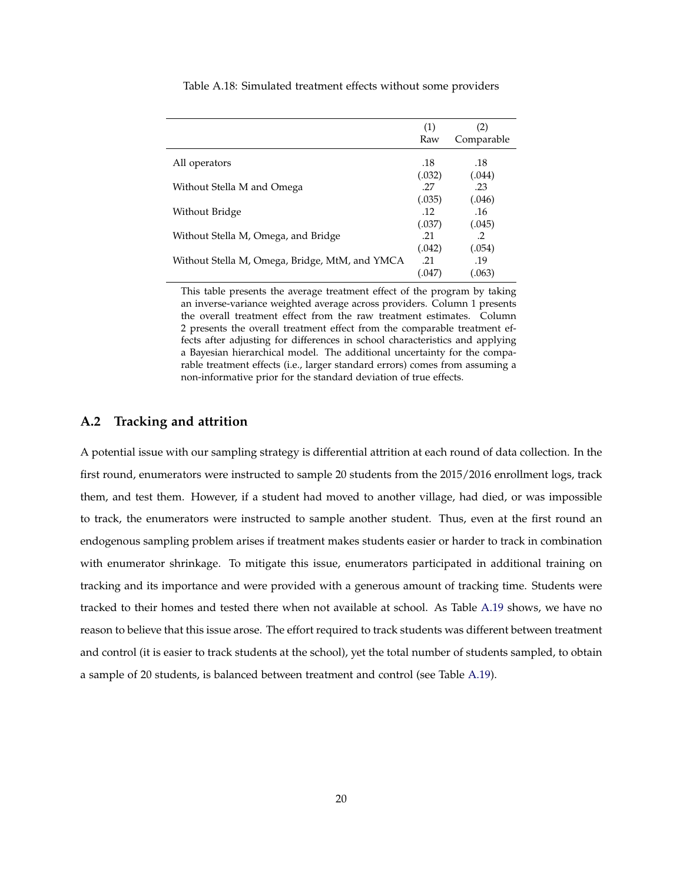|                                                | (1)<br>Raw    | (2)<br>Comparable       |
|------------------------------------------------|---------------|-------------------------|
| All operators                                  | .18<br>(.032) | .18<br>(.044)           |
| Without Stella M and Omega                     | 27<br>(.035)  | .23<br>(.046)           |
| Without Bridge                                 | .12<br>(.037) | .16<br>(.045)           |
| Without Stella M, Omega, and Bridge            | .21<br>(.042) | $\mathcal{P}$<br>(.054) |
| Without Stella M, Omega, Bridge, MtM, and YMCA | .21<br>(.047  | .19<br>063              |

Table A.18: Simulated treatment effects without some providers

This table presents the average treatment effect of the program by taking an inverse-variance weighted average across providers. Column 1 presents the overall treatment effect from the raw treatment estimates. Column 2 presents the overall treatment effect from the comparable treatment effects after adjusting for differences in school characteristics and applying a Bayesian hierarchical model. The additional uncertainty for the comparable treatment effects (i.e., larger standard errors) comes from assuming a non-informative prior for the standard deviation of true effects.

#### **A.2 Tracking and attrition**

A potential issue with our sampling strategy is differential attrition at each round of data collection. In the first round, enumerators were instructed to sample 20 students from the 2015/2016 enrollment logs, track them, and test them. However, if a student had moved to another village, had died, or was impossible to track, the enumerators were instructed to sample another student. Thus, even at the first round an endogenous sampling problem arises if treatment makes students easier or harder to track in combination with enumerator shrinkage. To mitigate this issue, enumerators participated in additional training on tracking and its importance and were provided with a generous amount of tracking time. Students were tracked to their homes and tested there when not available at school. As Table A.19 shows, we have no reason to believe that this issue arose. The effort required to track students was different between treatment and control (it is easier to track students at the school), yet the total number of students sampled, to obtain a sample of 20 students, is balanced between treatment and control (see Table A.19).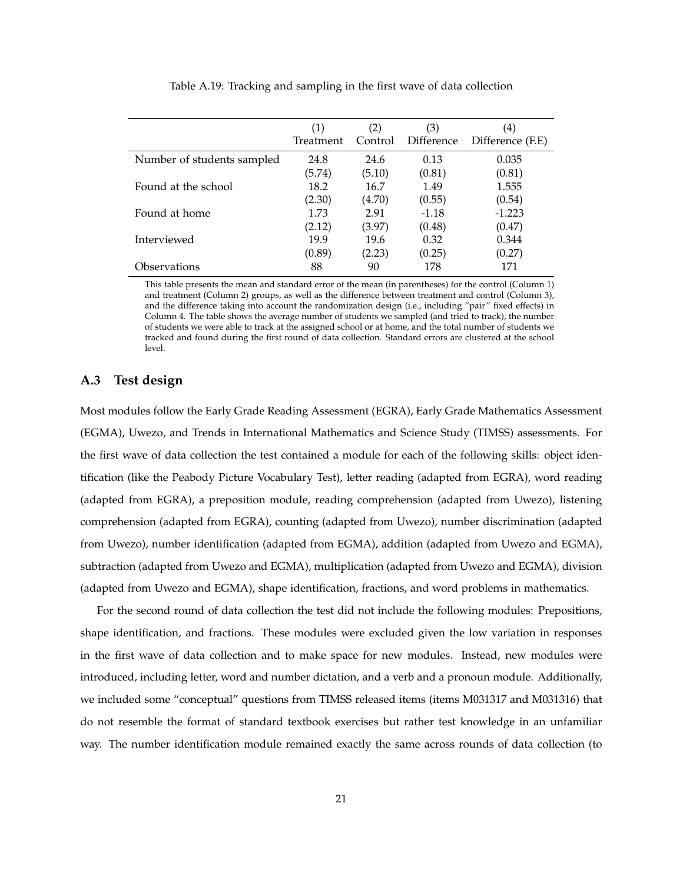|                            | (1)<br>Treatment | (2)<br>Control | (3)<br>Difference | (4)<br>Difference (F.E) |
|----------------------------|------------------|----------------|-------------------|-------------------------|
| Number of students sampled | 24.8             | 24.6           | 0.13              | 0.035                   |
|                            | (5.74)           | (5.10)         | (0.81)            | (0.81)                  |
| Found at the school        | 18.2             | 16.7           | 1.49              | 1.555                   |
|                            | (2.30)           | (4.70)         | (0.55)            | (0.54)                  |
| Found at home              | 1.73             | 2.91           | $-1.18$           | $-1.223$                |
|                            | (2.12)           | (3.97)         | (0.48)            | (0.47)                  |
| Interviewed                | 19.9             | 19.6           | 0.32              | 0.344                   |
|                            | (0.89)           | (2.23)         | (0.25)            | (0.27)                  |
| Observations               | 88               | 90             | 178               | 171                     |

Table A.19: Tracking and sampling in the first wave of data collection

This table presents the mean and standard error of the mean (in parentheses) for the control (Column 1) and treatment (Column 2) groups, as well as the difference between treatment and control (Column 3), and the difference taking into account the randomization design (i.e., including "pair" fixed effects) in Column 4. The table shows the average number of students we sampled (and tried to track), the number of students we were able to track at the assigned school or at home, and the total number of students we tracked and found during the first round of data collection. Standard errors are clustered at the school level.

#### **A.3 Test design**

Most modules follow the Early Grade Reading Assessment (EGRA), Early Grade Mathematics Assessment (EGMA), Uwezo, and Trends in International Mathematics and Science Study (TIMSS) assessments. For the first wave of data collection the test contained a module for each of the following skills: object identification (like the Peabody Picture Vocabulary Test), letter reading (adapted from EGRA), word reading (adapted from EGRA), a preposition module, reading comprehension (adapted from Uwezo), listening comprehension (adapted from EGRA), counting (adapted from Uwezo), number discrimination (adapted from Uwezo), number identification (adapted from EGMA), addition (adapted from Uwezo and EGMA), subtraction (adapted from Uwezo and EGMA), multiplication (adapted from Uwezo and EGMA), division (adapted from Uwezo and EGMA), shape identification, fractions, and word problems in mathematics.

For the second round of data collection the test did not include the following modules: Prepositions, shape identification, and fractions. These modules were excluded given the low variation in responses in the first wave of data collection and to make space for new modules. Instead, new modules were introduced, including letter, word and number dictation, and a verb and a pronoun module. Additionally, we included some "conceptual" questions from TIMSS released items (items M031317 and M031316) that do not resemble the format of standard textbook exercises but rather test knowledge in an unfamiliar way. The number identification module remained exactly the same across rounds of data collection (to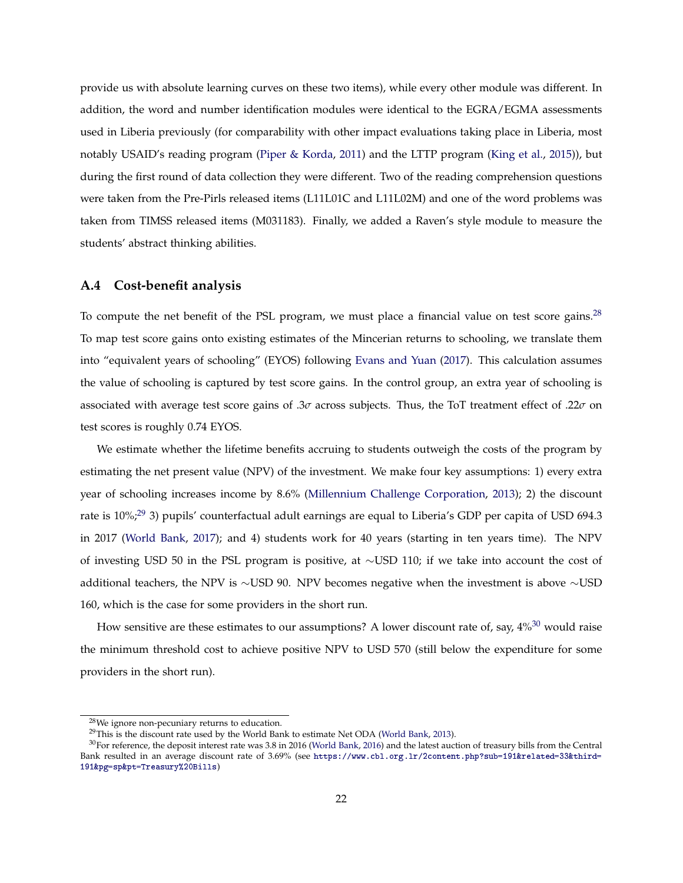provide us with absolute learning curves on these two items), while every other module was different. In addition, the word and number identification modules were identical to the EGRA/EGMA assessments used in Liberia previously (for comparability with other impact evaluations taking place in Liberia, most notably USAID's reading program (Piper & Korda, 2011) and the LTTP program (King et al., 2015)), but during the first round of data collection they were different. Two of the reading comprehension questions were taken from the Pre-Pirls released items (L11L01C and L11L02M) and one of the word problems was taken from TIMSS released items (M031183). Finally, we added a Raven's style module to measure the students' abstract thinking abilities.

#### **A.4 Cost-benefit analysis**

To compute the net benefit of the PSL program, we must place a financial value on test score gains.<sup>28</sup> To map test score gains onto existing estimates of the Mincerian returns to schooling, we translate them into "equivalent years of schooling" (EYOS) following Evans and Yuan (2017). This calculation assumes the value of schooling is captured by test score gains. In the control group, an extra year of schooling is associated with average test score gains of .3*σ* across subjects. Thus, the ToT treatment effect of .22*σ* on test scores is roughly 0.74 EYOS.

We estimate whether the lifetime benefits accruing to students outweigh the costs of the program by estimating the net present value (NPV) of the investment. We make four key assumptions: 1) every extra year of schooling increases income by 8.6% (Millennium Challenge Corporation, 2013); 2) the discount rate is 10%;<sup>29</sup> 3) pupils' counterfactual adult earnings are equal to Liberia's GDP per capita of USD 694.3 in 2017 (World Bank, 2017); and 4) students work for 40 years (starting in ten years time). The NPV of investing USD 50 in the PSL program is positive, at ∼USD 110; if we take into account the cost of additional teachers, the NPV is ∼USD 90. NPV becomes negative when the investment is above ∼USD 160, which is the case for some providers in the short run.

How sensitive are these estimates to our assumptions? A lower discount rate of, say,  $4\%^{30}$  would raise the minimum threshold cost to achieve positive NPV to USD 570 (still below the expenditure for some providers in the short run).

<sup>28</sup>We ignore non-pecuniary returns to education.

 $29$ This is the discount rate used by the World Bank to estimate Net ODA (World Bank, 2013).

 $30$ For reference, the deposit interest rate was 3.8 in 2016 (World Bank, 2016) and the latest auction of treasury bills from the Central Bank resulted in an average discount rate of 3.69% (see [https://www.cbl.org.lr/2content.php?sub=191&related=33&third=](https://www.cbl.org.lr/2content.php?sub=191&related=33&third=191&pg=sp&pt=Treasury%20Bills) [191&pg=sp&pt=Treasury%20Bills](https://www.cbl.org.lr/2content.php?sub=191&related=33&third=191&pg=sp&pt=Treasury%20Bills))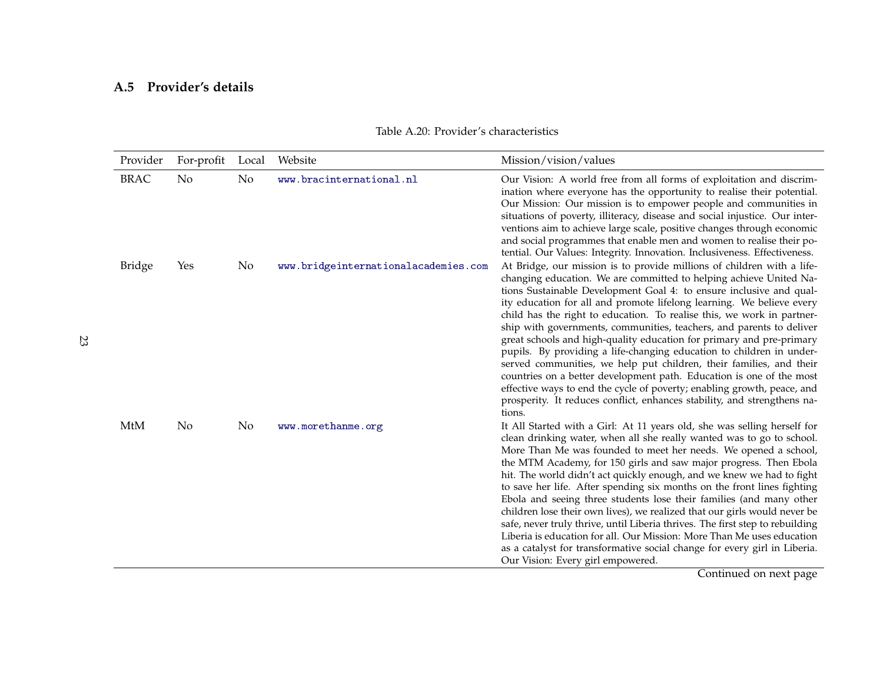## **A.5 Provider's details**

| Provider      | For-profit | Local | Website                              | Mission/vision/values                                                                                                                                                                                                                                                                                                                                                                                                                                                                                                                                                                                                                                                                                                                                                                                                                                                                                          |
|---------------|------------|-------|--------------------------------------|----------------------------------------------------------------------------------------------------------------------------------------------------------------------------------------------------------------------------------------------------------------------------------------------------------------------------------------------------------------------------------------------------------------------------------------------------------------------------------------------------------------------------------------------------------------------------------------------------------------------------------------------------------------------------------------------------------------------------------------------------------------------------------------------------------------------------------------------------------------------------------------------------------------|
| <b>BRAC</b>   | No         | No    | www.bracinternational.nl             | Our Vision: A world free from all forms of exploitation and discrim-<br>ination where everyone has the opportunity to realise their potential.<br>Our Mission: Our mission is to empower people and communities in<br>situations of poverty, illiteracy, disease and social injustice. Our inter-<br>ventions aim to achieve large scale, positive changes through economic<br>and social programmes that enable men and women to realise their po-<br>tential. Our Values: Integrity. Innovation. Inclusiveness. Effectiveness.                                                                                                                                                                                                                                                                                                                                                                               |
| <b>Bridge</b> | Yes        | No    | www.bridgeinternationalacademies.com | At Bridge, our mission is to provide millions of children with a life-<br>changing education. We are committed to helping achieve United Na-<br>tions Sustainable Development Goal 4: to ensure inclusive and qual-<br>ity education for all and promote lifelong learning. We believe every<br>child has the right to education. To realise this, we work in partner-<br>ship with governments, communities, teachers, and parents to deliver<br>great schools and high-quality education for primary and pre-primary<br>pupils. By providing a life-changing education to children in under-<br>served communities, we help put children, their families, and their<br>countries on a better development path. Education is one of the most<br>effective ways to end the cycle of poverty; enabling growth, peace, and<br>prosperity. It reduces conflict, enhances stability, and strengthens na-<br>tions. |
| MtM           | No.        | No    | www.morethanme.org                   | It All Started with a Girl: At 11 years old, she was selling herself for<br>clean drinking water, when all she really wanted was to go to school.<br>More Than Me was founded to meet her needs. We opened a school,<br>the MTM Academy, for 150 girls and saw major progress. Then Ebola<br>hit. The world didn't act quickly enough, and we knew we had to fight<br>to save her life. After spending six months on the front lines fighting<br>Ebola and seeing three students lose their families (and many other<br>children lose their own lives), we realized that our girls would never be<br>safe, never truly thrive, until Liberia thrives. The first step to rebuilding<br>Liberia is education for all. Our Mission: More Than Me uses education<br>as a catalyst for transformative social change for every girl in Liberia.<br>Our Vision: Every girl empowered.                                 |

### Table A.20: Provider's characteristics

Continued on next page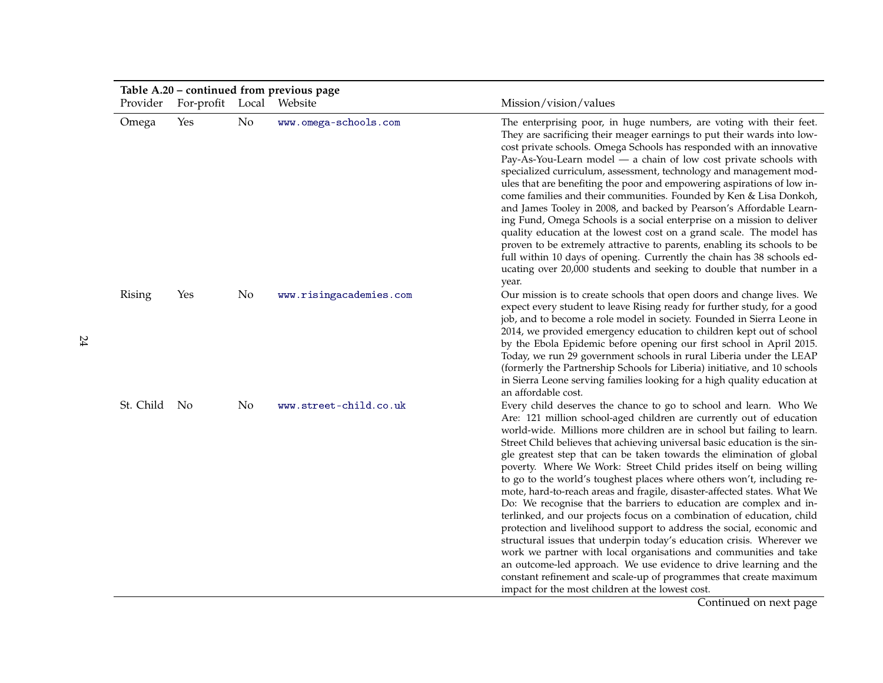| Provider      | For-profit Local Website |    | Table A.20 – continued from previous page | Mission/vision/values                                                                                                                                                                                                                                                                                                                                                                                                                                                                                                                                                                                                                                                                                                                                                                                                                                                                                                                                                                                                                                                                                                                                                           |
|---------------|--------------------------|----|-------------------------------------------|---------------------------------------------------------------------------------------------------------------------------------------------------------------------------------------------------------------------------------------------------------------------------------------------------------------------------------------------------------------------------------------------------------------------------------------------------------------------------------------------------------------------------------------------------------------------------------------------------------------------------------------------------------------------------------------------------------------------------------------------------------------------------------------------------------------------------------------------------------------------------------------------------------------------------------------------------------------------------------------------------------------------------------------------------------------------------------------------------------------------------------------------------------------------------------|
| Omega         | Yes                      | No | www.omega-schools.com                     | The enterprising poor, in huge numbers, are voting with their feet.<br>They are sacrificing their meager earnings to put their wards into low-<br>cost private schools. Omega Schools has responded with an innovative<br>Pay-As-You-Learn model - a chain of low cost private schools with<br>specialized curriculum, assessment, technology and management mod-<br>ules that are benefiting the poor and empowering aspirations of low in-<br>come families and their communities. Founded by Ken & Lisa Donkoh,<br>and James Tooley in 2008, and backed by Pearson's Affordable Learn-<br>ing Fund, Omega Schools is a social enterprise on a mission to deliver<br>quality education at the lowest cost on a grand scale. The model has<br>proven to be extremely attractive to parents, enabling its schools to be<br>full within 10 days of opening. Currently the chain has 38 schools ed-<br>ucating over 20,000 students and seeking to double that number in a<br>year.                                                                                                                                                                                               |
| <b>Rising</b> | Yes                      | No | www.risingacademies.com                   | Our mission is to create schools that open doors and change lives. We<br>expect every student to leave Rising ready for further study, for a good<br>job, and to become a role model in society. Founded in Sierra Leone in<br>2014, we provided emergency education to children kept out of school<br>by the Ebola Epidemic before opening our first school in April 2015.<br>Today, we run 29 government schools in rural Liberia under the LEAP<br>(formerly the Partnership Schools for Liberia) initiative, and 10 schools<br>in Sierra Leone serving families looking for a high quality education at<br>an affordable cost.                                                                                                                                                                                                                                                                                                                                                                                                                                                                                                                                              |
| St. Child     | No                       | No | www.street-child.co.uk                    | Every child deserves the chance to go to school and learn. Who We<br>Are: 121 million school-aged children are currently out of education<br>world-wide. Millions more children are in school but failing to learn.<br>Street Child believes that achieving universal basic education is the sin-<br>gle greatest step that can be taken towards the elimination of global<br>poverty. Where We Work: Street Child prides itself on being willing<br>to go to the world's toughest places where others won't, including re-<br>mote, hard-to-reach areas and fragile, disaster-affected states. What We<br>Do: We recognise that the barriers to education are complex and in-<br>terlinked, and our projects focus on a combination of education, child<br>protection and livelihood support to address the social, economic and<br>structural issues that underpin today's education crisis. Wherever we<br>work we partner with local organisations and communities and take<br>an outcome-led approach. We use evidence to drive learning and the<br>constant refinement and scale-up of programmes that create maximum<br>impact for the most children at the lowest cost. |

Continued on next page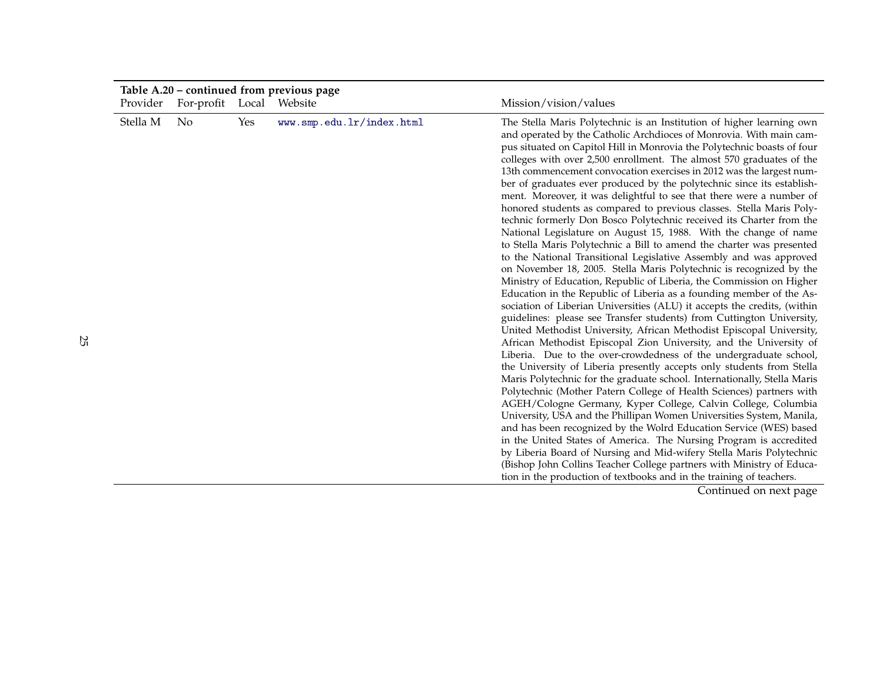|          | Table A.20 – continued from previous page |     |                           |                                                                                                                                                                                                                                                                                                                                                                                                                                                                                                                                                                                                                                                                                                                                                                                                                                                                                                                                                                                                                                                                                                                                                                                                                                                                                                                                                                                                                                                                                                                                                                                                                                                                                                                                                                                                                                                                                                                                                                                                                                                                                                                                                                                                                                       |  |  |
|----------|-------------------------------------------|-----|---------------------------|---------------------------------------------------------------------------------------------------------------------------------------------------------------------------------------------------------------------------------------------------------------------------------------------------------------------------------------------------------------------------------------------------------------------------------------------------------------------------------------------------------------------------------------------------------------------------------------------------------------------------------------------------------------------------------------------------------------------------------------------------------------------------------------------------------------------------------------------------------------------------------------------------------------------------------------------------------------------------------------------------------------------------------------------------------------------------------------------------------------------------------------------------------------------------------------------------------------------------------------------------------------------------------------------------------------------------------------------------------------------------------------------------------------------------------------------------------------------------------------------------------------------------------------------------------------------------------------------------------------------------------------------------------------------------------------------------------------------------------------------------------------------------------------------------------------------------------------------------------------------------------------------------------------------------------------------------------------------------------------------------------------------------------------------------------------------------------------------------------------------------------------------------------------------------------------------------------------------------------------|--|--|
| Provider | For-profit Local Website                  |     |                           | Mission/vision/values                                                                                                                                                                                                                                                                                                                                                                                                                                                                                                                                                                                                                                                                                                                                                                                                                                                                                                                                                                                                                                                                                                                                                                                                                                                                                                                                                                                                                                                                                                                                                                                                                                                                                                                                                                                                                                                                                                                                                                                                                                                                                                                                                                                                                 |  |  |
| Stella M | No                                        | Yes | www.smp.edu.lr/index.html | The Stella Maris Polytechnic is an Institution of higher learning own<br>and operated by the Catholic Archdioces of Monrovia. With main cam-<br>pus situated on Capitol Hill in Monrovia the Polytechnic boasts of four<br>colleges with over 2,500 enrollment. The almost 570 graduates of the<br>13th commencement convocation exercises in 2012 was the largest num-<br>ber of graduates ever produced by the polytechnic since its establish-<br>ment. Moreover, it was delightful to see that there were a number of<br>honored students as compared to previous classes. Stella Maris Poly-<br>technic formerly Don Bosco Polytechnic received its Charter from the<br>National Legislature on August 15, 1988. With the change of name<br>to Stella Maris Polytechnic a Bill to amend the charter was presented<br>to the National Transitional Legislative Assembly and was approved<br>on November 18, 2005. Stella Maris Polytechnic is recognized by the<br>Ministry of Education, Republic of Liberia, the Commission on Higher<br>Education in the Republic of Liberia as a founding member of the As-<br>sociation of Liberian Universities (ALU) it accepts the credits, (within<br>guidelines: please see Transfer students) from Cuttington University,<br>United Methodist University, African Methodist Episcopal University,<br>African Methodist Episcopal Zion University, and the University of<br>Liberia. Due to the over-crowdedness of the undergraduate school,<br>the University of Liberia presently accepts only students from Stella<br>Maris Polytechnic for the graduate school. Internationally, Stella Maris<br>Polytechnic (Mother Patern College of Health Sciences) partners with<br>AGEH/Cologne Germany, Kyper College, Calvin College, Columbia<br>University, USA and the Phillipan Women Universities System, Manila,<br>and has been recognized by the Wolrd Education Service (WES) based<br>in the United States of America. The Nursing Program is accredited<br>by Liberia Board of Nursing and Mid-wifery Stella Maris Polytechnic<br>(Bishop John Collins Teacher College partners with Ministry of Educa-<br>tion in the production of textbooks and in the training of teachers. |  |  |
|          |                                           |     |                           | Cantinual and anti-anno                                                                                                                                                                                                                                                                                                                                                                                                                                                                                                                                                                                                                                                                                                                                                                                                                                                                                                                                                                                                                                                                                                                                                                                                                                                                                                                                                                                                                                                                                                                                                                                                                                                                                                                                                                                                                                                                                                                                                                                                                                                                                                                                                                                                               |  |  |

Continued on next page